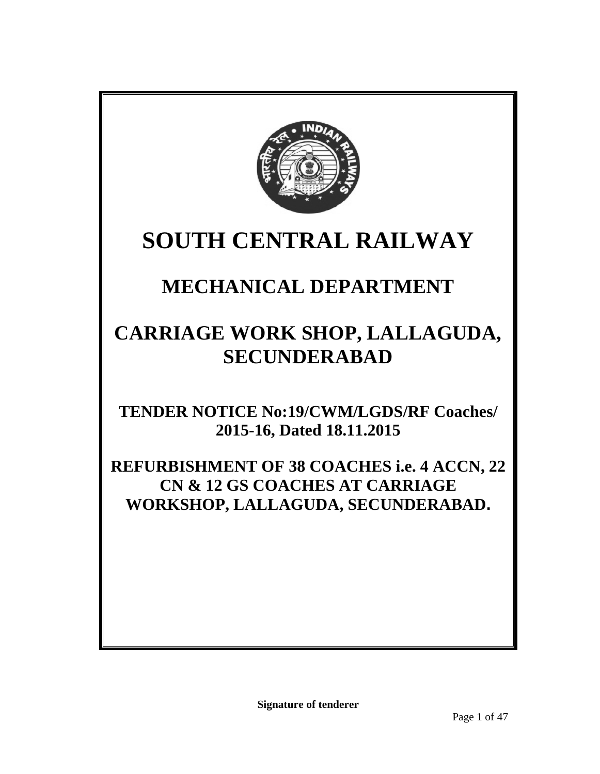

# **SOUTH CENTRAL RAILWAY**

## **MECHANICAL DEPARTMENT**

## **CARRIAGE WORK SHOP, LALLAGUDA, SECUNDERABAD**

**TENDER NOTICE No:19/CWM/LGDS/RF Coaches/ 2015-16, Dated 18.11.2015**

**REFURBISHMENT OF 38 COACHES i.e. 4 ACCN, 22 CN & 12 GS COACHES AT CARRIAGE WORKSHOP, LALLAGUDA, SECUNDERABAD.**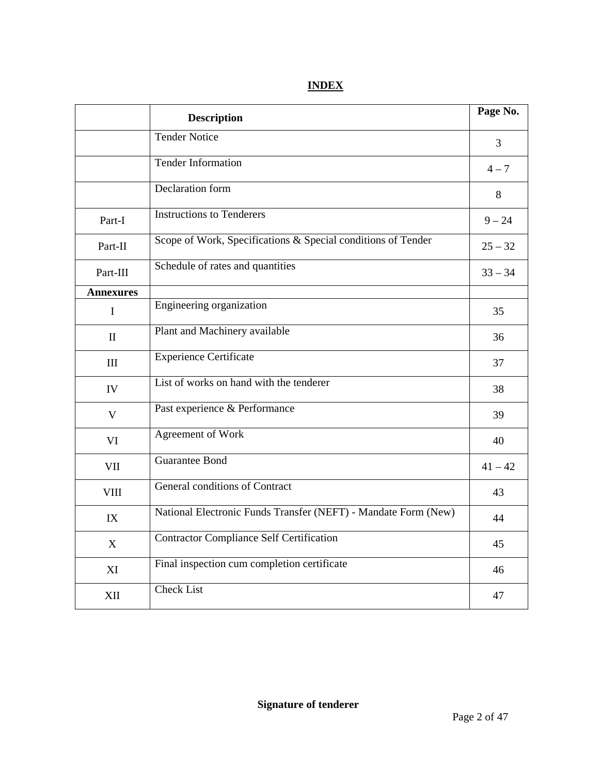|                  | <b>Description</b>                                              | Page No.  |
|------------------|-----------------------------------------------------------------|-----------|
|                  | <b>Tender Notice</b>                                            | 3         |
|                  | <b>Tender Information</b>                                       | $4 - 7$   |
|                  | Declaration form                                                | 8         |
| Part-I           | <b>Instructions to Tenderers</b>                                | $9 - 24$  |
| Part-II          | Scope of Work, Specifications $\&$ Special conditions of Tender | $25 - 32$ |
| Part-III         | Schedule of rates and quantities                                | $33 - 34$ |
| <b>Annexures</b> |                                                                 |           |
| $\mathbf I$      | Engineering organization                                        | 35        |
| $\mathbf{I}$     | Plant and Machinery available                                   | 36        |
| III              | <b>Experience Certificate</b>                                   | 37        |
| IV               | List of works on hand with the tenderer                         | 38        |
| $\mathbf V$      | Past experience & Performance                                   | 39        |
| VI               | Agreement of Work                                               | 40        |
| VII              | <b>Guarantee Bond</b>                                           | $41 - 42$ |
| <b>VIII</b>      | <b>General conditions of Contract</b>                           | 43        |
| IX               | National Electronic Funds Transfer (NEFT) - Mandate Form (New)  | 44        |
| X                | <b>Contractor Compliance Self Certification</b>                 | 45        |
| XI               | Final inspection cum completion certificate                     | 46        |
| XII              | <b>Check List</b>                                               | 47        |

## **INDEX**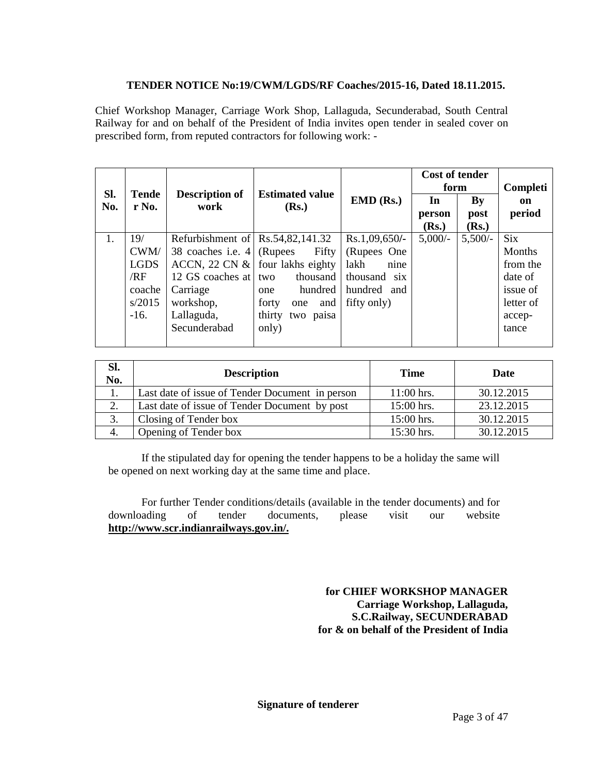## TENDER NOTICE No: 19/CWM/LGDS/R F Coaches2015-16, Dated 18.11.2015.

Chief Workshop Manager, Carriage Work Shop, Lallaguda, Secunderabad, South Central Railway for and on behalf of the President of India invites open tendeealed cover on prescribed form, from reputed contractors for following work:

|            |                 |                                |                                 |                       | Cost of tender<br>form |        | Completi      |
|------------|-----------------|--------------------------------|---------------------------------|-----------------------|------------------------|--------|---------------|
| SI.<br>No. | Tende<br>r No.  | Description of<br>work         | <b>Estimated value</b><br>(Rs.) | EMD (Rs.)             | In.                    | By     | on.           |
|            |                 |                                |                                 |                       | person                 | post   | period        |
|            |                 |                                |                                 |                       | (Rs.)                  | (Rs.)  |               |
| 1.         | 19 <sup>′</sup> | Refurbishment o Rs54,82,141.32 |                                 | Rs.1,09,650/-         | 5,000/                 | 5,500/ | <b>Six</b>    |
|            | CWM/            | 38 coaches <i>i.e4</i> (Rupees | Fifty                           | (Rupes One            |                        |        | <b>Months</b> |
|            | <b>LGDS</b>     | ACCN, 22 CN &                  | four lakhs eighty               | lakh<br>nine          |                        |        | from the      |
|            | /RF             | 12 GScoaches a two             |                                 | thousand thousand six |                        |        | date of       |
|            | coache          | Carriage                       | one                             | hundred hundred and   |                        |        | issueof       |
|            | s/2015          | workshop,                      | forty                           | one and fif ty only)  |                        |        | letter of     |
|            | $-16.$          | Lallaguda,                     | thirty<br>two paisa             |                       |                        |        | accep         |
|            |                 | Secunderabad                   | only)                           |                       |                        |        | tance         |
|            |                 |                                |                                 |                       |                        |        |               |

| SI.<br>No. | <b>Description</b>                             | Time       | Date       |
|------------|------------------------------------------------|------------|------------|
|            | Last date of issue of Tender Document in perse | 11:00 hrs. | 30.12.2015 |
| 2.         | Last date of ssue of Tender Document by post   | 15:00 hrs. | 23.12.2015 |
| 3.         | <b>Closing of Tender box</b>                   | 15:00 hrs. | 30.12.2015 |
| 4.         | Opening of Tender box                          | 15:30 hrs. | 30.12.2015 |

If the stipulated day for opening the tender happens to be a holiday the same will be opened on next wiking day at the same time and place.

For further Tender conditions/details (available in the tender documents) and for downloading of tender documents, please visit ourwebsite [http://www.scr.indianrai](http://www.scr.indianrailways.gov.in/) lways.gov.in/.

> for CHIEF WORKSHOP MANAGER Carriage Workshop, Lallaguda, S.C.Railway, SECUNDERABAD for & on behalf of the President of India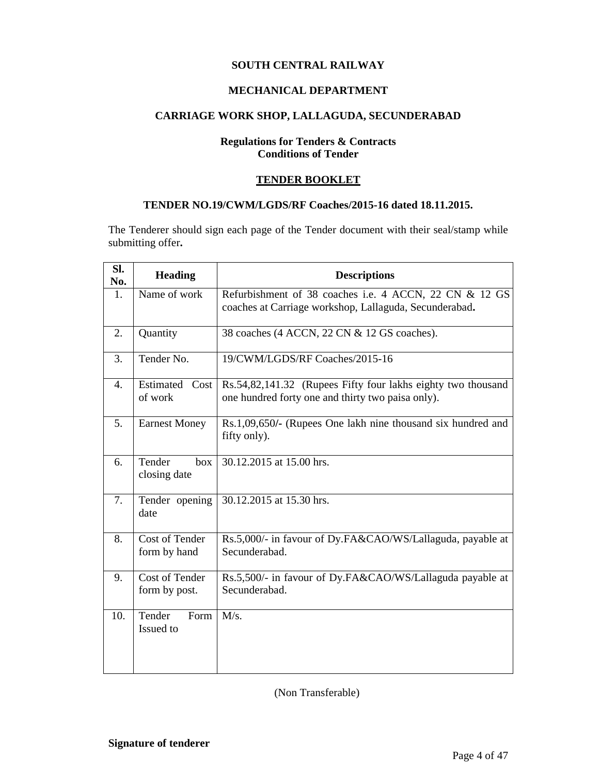## **SOUTH CENTRAL RAILWAY**

## **MECHANICAL DEPARTMENT**

## **CARRIAGE WORK SHOP, LALLAGUDA, SECUNDERABAD**

## **Regulations for Tenders & Contracts Conditions of Tender**

#### **TENDER BOOKLET**

## **TENDER NO.19/CWM/LGDS/RF Coaches/2015-16 dated 18.11.2015.**

The Tenderer should sign each page of the Tender document with their seal/stamp while submitting offer**.**

| Sl.<br>No.     | <b>Heading</b>                        | <b>Descriptions</b>                                                                                               |  |  |  |
|----------------|---------------------------------------|-------------------------------------------------------------------------------------------------------------------|--|--|--|
| $\mathbf{1}$ . | Name of work                          | Refurbishment of 38 coaches i.e. 4 ACCN, 22 CN & 12 GS<br>coaches at Carriage workshop, Lallaguda, Secunderabad.  |  |  |  |
| 2.             | Quantity                              | 38 coaches (4 ACCN, 22 CN & 12 GS coaches).                                                                       |  |  |  |
| 3.             | Tender No.                            | 19/CWM/LGDS/RF Coaches/2015-16                                                                                    |  |  |  |
| 4.             | Estimated Cost<br>of work             | Rs.54,82,141.32 (Rupees Fifty four lakhs eighty two thousand<br>one hundred forty one and thirty two paisa only). |  |  |  |
| 5.             | <b>Earnest Money</b>                  | Rs.1,09,650/- (Rupees One lakh nine thousand six hundred and<br>fifty only).                                      |  |  |  |
| 6.             | Tender<br>box<br>closing date         | 30.12.2015 at 15.00 hrs.                                                                                          |  |  |  |
| 7.             | Tender opening<br>date                | 30.12.2015 at 15.30 hrs.                                                                                          |  |  |  |
| 8.             | <b>Cost of Tender</b><br>form by hand | Rs.5,000/- in favour of Dy.FA&CAO/WS/Lallaguda, payable at<br>Secunderabad.                                       |  |  |  |
| 9.             | Cost of Tender<br>form by post.       | Rs.5,500/- in favour of Dy.FA&CAO/WS/Lallaguda payable at<br>Secunderabad.                                        |  |  |  |
| 10.            | Tender<br>Form<br>Issued to           | M/s.                                                                                                              |  |  |  |

(Non Transferable)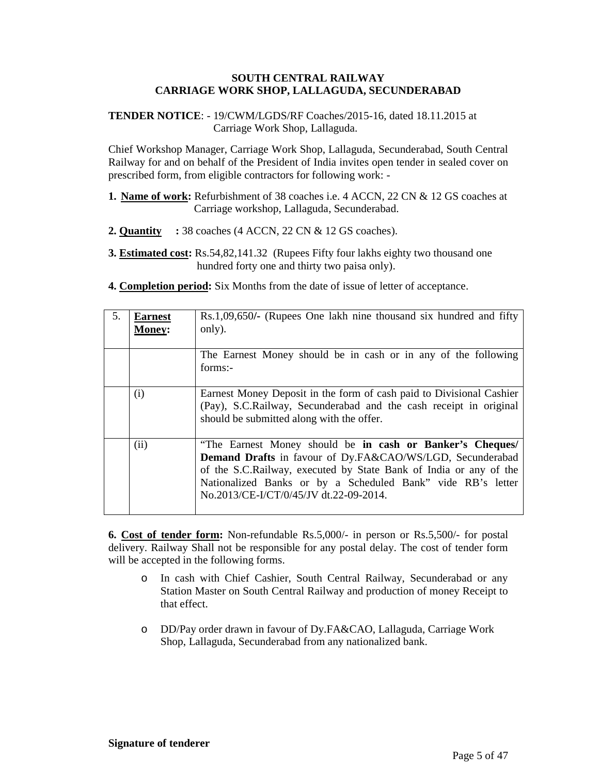#### **SOUTH CENTRAL RAILWAY CARRIAGE WORK SHOP, LALLAGUDA, SECUNDERABAD**

**TENDER NOTICE**: - 19/CWM/LGDS/RF Coaches/2015-16, dated 18.11.2015 at Carriage Work Shop, Lallaguda.

Chief Workshop Manager, Carriage Work Shop, Lallaguda, Secunderabad, South Central Railway for and on behalf of the President of India invites open tender in sealed cover on prescribed form, from eligible contractors for following work: -

- **1. Name of work:** Refurbishment of 38 coaches i.e. 4 ACCN, 22 CN & 12 GS coaches at Carriage workshop, Lallaguda, Secunderabad.
- **2. Quantity :** 38 coaches (4 ACCN, 22 CN & 12 GS coaches).
- **3. Estimated cost:** Rs.54,82,141.32 (Rupees Fifty four lakhs eighty two thousand one hundred forty one and thirty two paisa only).
- **4. Completion period:** Six Months from the date of issue of letter of acceptance.

| 5. | <b>Earnest</b><br><b>Money:</b> | Rs.1,09,650/- (Rupees One lakh nine thousand six hundred and fifty<br>only).                                                                                                                                                                                                                         |
|----|---------------------------------|------------------------------------------------------------------------------------------------------------------------------------------------------------------------------------------------------------------------------------------------------------------------------------------------------|
|    |                                 | The Earnest Money should be in cash or in any of the following<br>forms:-                                                                                                                                                                                                                            |
|    | (i)                             | Earnest Money Deposit in the form of cash paid to Divisional Cashier<br>(Pay), S.C.Railway, Secunderabad and the cash receipt in original<br>should be submitted along with the offer.                                                                                                               |
|    | (ii)                            | "The Earnest Money should be in cash or Banker's Cheques/<br>Demand Drafts in favour of Dy.FA&CAO/WS/LGD, Secunderabad<br>of the S.C.Railway, executed by State Bank of India or any of the<br>Nationalized Banks or by a Scheduled Bank" vide RB's letter<br>No.2013/CE-I/CT/0/45/JV dt.22-09-2014. |

**6. Cost of tender form:** Non-refundable Rs.5,000/- in person or Rs.5,500/- for postal delivery. Railway Shall not be responsible for any postal delay. The cost of tender form will be accepted in the following forms.

- o In cash with Chief Cashier, South Central Railway, Secunderabad or any Station Master on South Central Railway and production of money Receipt to that effect.
- o DD/Pay order drawn in favour of Dy.FA&CAO, Lallaguda, Carriage Work Shop, Lallaguda, Secunderabad from any nationalized bank.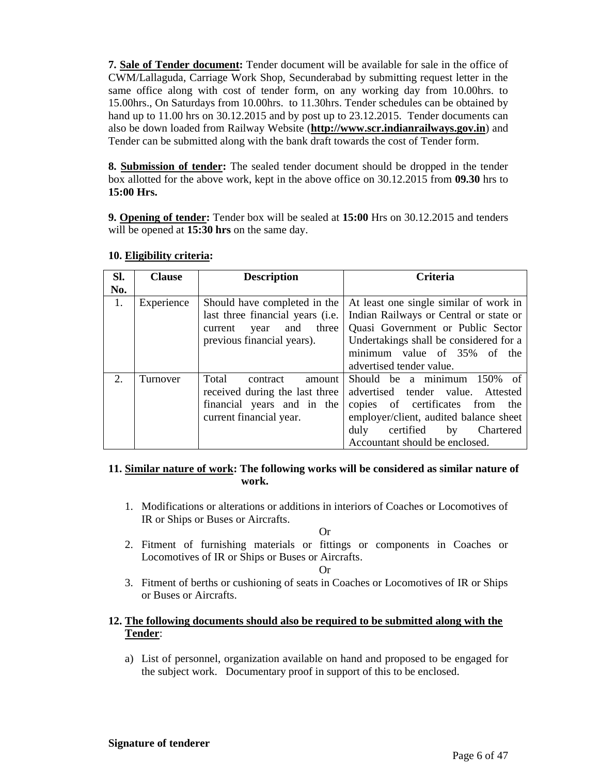7. Sale of Tender document Tender document wibe available for sale in the office of CWM/Lallaguda, Carriage Work Shop, Secunderabad by submitting request letter in the same office along with cost of tender form, on any working day from 10.00hrs. to 15.00hrs., On Saturdays from 10.00hrs. to 11 \$00 Fender schedules can be obtained by hand up to 11.00 hrs  $60.12.2015$ and by post upto  $23.12.2015$  Tender documents can also be down loaded from Railway Website ( www.scr.indianrailways.gov.in) and Tender can be submitted along with the bank draft towards the cost of Tender form.

8. Submission of tender The sealed tender document should be dropped in the tender box allotted for the above work, kept in the above office  $\alpha$ n2.2015 from 09.30hrs to 15:00 Hrs.

9. Opening of tender: Tender box will be sealed  $\text{ab}$ :00 Hrs on30.12.2015and tenders will be opened at 5:30 hrson the same day.

| SI. | Clause     | Description                                  | Criteria                                                                                                                                                                                                                                                                                 |
|-----|------------|----------------------------------------------|------------------------------------------------------------------------------------------------------------------------------------------------------------------------------------------------------------------------------------------------------------------------------------------|
| No. |            |                                              |                                                                                                                                                                                                                                                                                          |
| 1.  | Experience | current<br>previous financial years).        | Should have completed ithe At least one single similar of world<br>last three financial years (i. Indian Railways or Central or state<br>year and thre Quasi Government or Public Sect<br>Undertakings shall be considered for<br>minimum value 6 35% of the<br>advertised tender value. |
| 2.  | Turnover   | Total<br>contract<br>current financial year. | amour Should be a minimum 150%<br>received during the last thre advertised tender value. Attest<br>financial years and in the copies of certificates from the<br>employe/client, audited balance she<br>duly certified<br>Chartere<br>by<br>Accountant should be enclosed.               |

10.Eligibility criteria :

11. Similar nature of work: The following works will be considered as similar nature of work.

1. Modifications oralterations or additions in interiors of Coaches or Locomotives of IR or Ships or Buses or Aircrafts.

Or

2. Fitment of furnishing materials or fittings or components in Coaches or Locomotives of IR or Ships or Buses or Aircrafts .

Or

- 3. Fitment of berths or chisoning of seats in Coaches or Locomotives of IR or Ships or Buses or Aircrafts.
- 12.The following documents should also be required to be submitted along with the Tender:
	- a) List of personnel, organization available on hand and proposed to be easily the subject work. Documentary proof in support of this to be enclosed.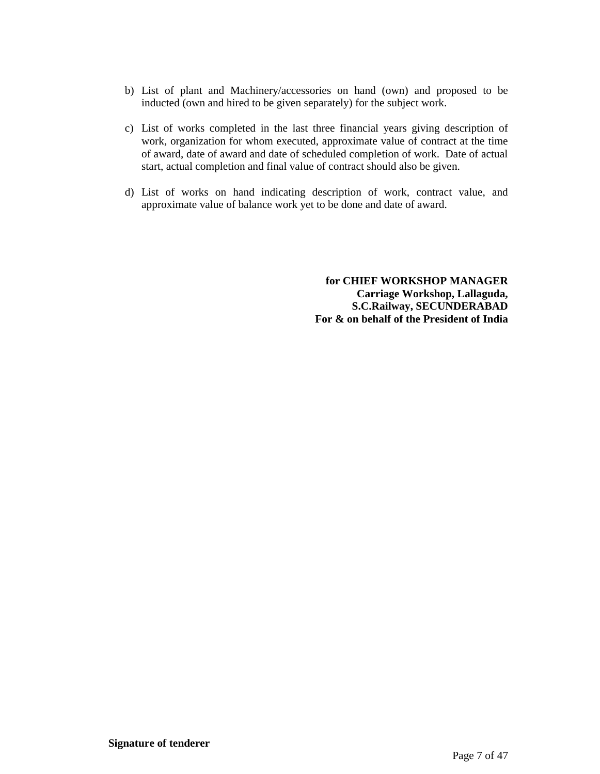- b) List of plant and Machinery/accessories on hand (own) and proposed to be inducted (own and hired to be given separately) for the subject work.
- c) List of works completed in the last three financial years giving description of work, organization for whom executed, approximate value of contract at the time of award, date of award and date of scheduled completion of work. Date of actual start, actual completion and final value of contract should also be given.
- d) List of works on hand indicating description of work, contract value, and approximate value of balance work yet to be done and date of award.

**for CHIEF WORKSHOP MANAGER Carriage Workshop, Lallaguda, S.C.Railway, SECUNDERABAD For & on behalf of the President of India**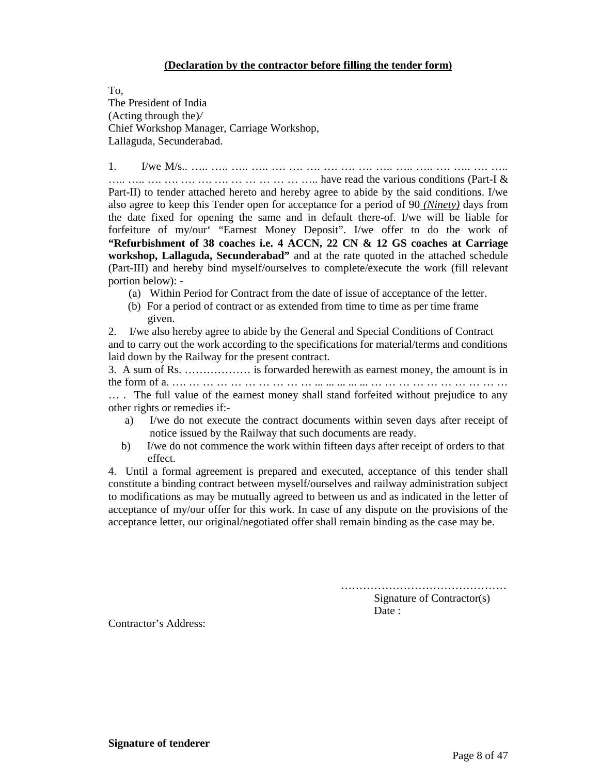#### **(Declaration by the contractor before filling the tender form)**

To, The President of India (Acting through the)*/* Chief Workshop Manager, Carriage Workshop, Lallaguda, Secunderabad.

1. I/we M/s.. ….. ….. ….. ….. …. …. …. …. …. …. ….. ….. ….. …. ….. …. ….. ….. ….. …. …. …. …. …. … … … … … ….. have read the various conditions (Part-I & Part-II) to tender attached hereto and hereby agree to abide by the said conditions. I/we also agree to keep this Tender open for acceptance for a period of 90 *(Ninety)* days from the date fixed for opening the same and in default there-of. I/we will be liable for forfeiture of my/our "Earnest Money Deposit". I/we offer to do the work of **"Refurbishment of 38 coaches i.e. 4 ACCN, 22 CN & 12 GS coaches at Carriage workshop, Lallaguda, Secunderabad"** and at the rate quoted in the attached schedule (Part-III) and hereby bind myself/ourselves to complete/execute the work (fill relevant portion below): -

- (a) Within Period for Contract from the date of issue of acceptance of the letter.
- (b) For a period of contract or as extended from time to time as per time frame given.

2. I/we also hereby agree to abide by the General and Special Conditions of Contract and to carry out the work according to the specifications for material/terms and conditions laid down by the Railway for the present contract.

3. A sum of Rs. ……………… is forwarded herewith as earnest money, the amount is in the form of a. …. … … … … … … … … … ... ... ... ... ... … … … … … … … … … …

… . The full value of the earnest money shall stand forfeited without prejudice to any other rights or remedies if:-

- a) I/we do not execute the contract documents within seven days after receipt of notice issued by the Railway that such documents are ready.
- b) I/we do not commence the work within fifteen days after receipt of orders to that effect.

4. Until a formal agreement is prepared and executed, acceptance of this tender shall constitute a binding contract between myself/ourselves and railway administration subject to modifications as may be mutually agreed to between us and as indicated in the letter of acceptance of my/our offer for this work. In case of any dispute on the provisions of the acceptance letter, our original/negotiated offer shall remain binding as the case may be.

………………………………………

Signature of Contractor(s) Date :

Contractor's Address: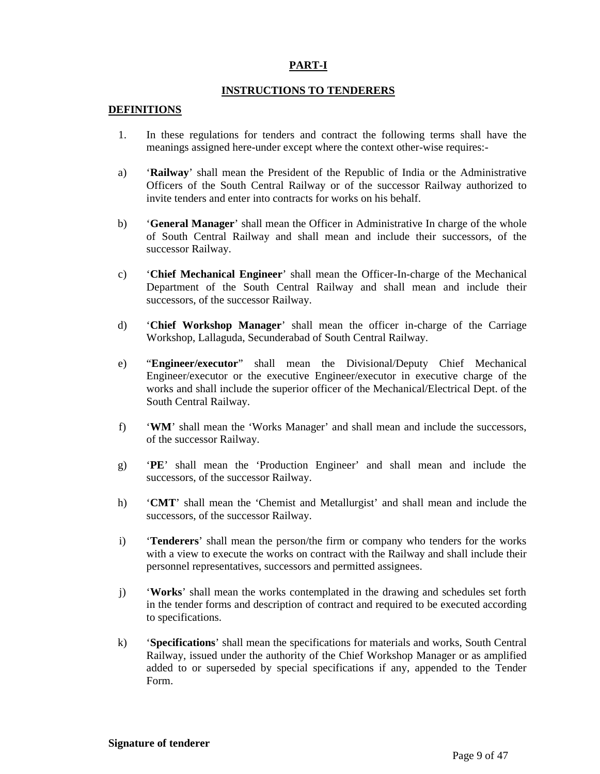## **PART-I**

#### **INSTRUCTIONS TO TENDERERS**

#### **DEFINITIONS**

- 1. In these regulations for tenders and contract the following terms shall have the meanings assigned here-under except where the context other-wise requires:-
- a) '**Railway**' shall mean the President of the Republic of India or the Administrative Officers of the South Central Railway or of the successor Railway authorized to invite tenders and enter into contracts for works on his behalf.
- b) '**General Manager**' shall mean the Officer in Administrative In charge of the whole of South Central Railway and shall mean and include their successors, of the successor Railway.
- c) '**Chief Mechanical Engineer**' shall mean the Officer-In-charge of the Mechanical Department of the South Central Railway and shall mean and include their successors, of the successor Railway.
- d) '**Chief Workshop Manager**' shall mean the officer in-charge of the Carriage Workshop, Lallaguda, Secunderabad of South Central Railway.
- e) "**Engineer/executor**" shall mean the Divisional/Deputy Chief Mechanical Engineer/executor or the executive Engineer/executor in executive charge of the works and shall include the superior officer of the Mechanical/Electrical Dept. of the South Central Railway.
- f) '**WM**' shall mean the 'Works Manager' and shall mean and include the successors, of the successor Railway.
- g) '**PE**' shall mean the 'Production Engineer' and shall mean and include the successors, of the successor Railway.
- h) '**CMT**' shall mean the 'Chemist and Metallurgist' and shall mean and include the successors, of the successor Railway.
- i) '**Tenderers**' shall mean the person/the firm or company who tenders for the works with a view to execute the works on contract with the Railway and shall include their personnel representatives, successors and permitted assignees.
- j) '**Works**' shall mean the works contemplated in the drawing and schedules set forth in the tender forms and description of contract and required to be executed according to specifications.
- k) '**Specifications**' shall mean the specifications for materials and works, South Central Railway, issued under the authority of the Chief Workshop Manager or as amplified added to or superseded by special specifications if any, appended to the Tender Form.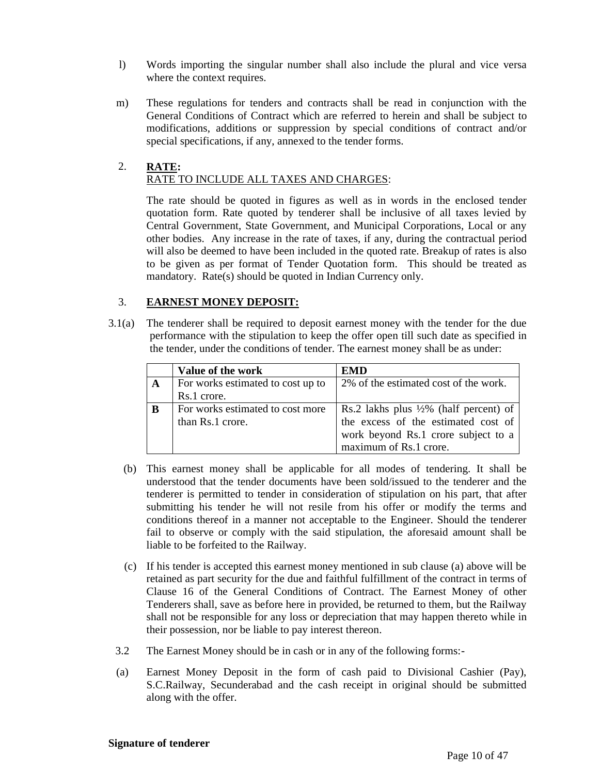- l) Words importing the singular number shall also include the plural and vice versa where the context requires.
- m) These regulations for tenders and contracts shall be read in conjunction with the General Conditions of Contract which are referred to herein and shall be subject to modifications, additions or suppression by special conditions of contract and/or special specifications, if any, annexed to the tender forms.

## 2. **RATE:** RATE TO INCLUDE ALL TAXES AND CHARGES:

The rate should be quoted in figures as well as in words in the enclosed tender quotation form. Rate quoted by tenderer shall be inclusive of all taxes levied by Central Government, State Government, and Municipal Corporations, Local or any other bodies. Any increase in the rate of taxes, if any, during the contractual period will also be deemed to have been included in the quoted rate. Breakup of rates is also to be given as per format of Tender Quotation form. This should be treated as mandatory. Rate(s) should be quoted in Indian Currency only.

## 3. **EARNEST MONEY DEPOSIT:**

3.1(a) The tenderer shall be required to deposit earnest money with the tender for the due performance with the stipulation to keep the offer open till such date as specified in the tender, under the conditions of tender. The earnest money shall be as under:

|             | Value of the work                 | EMD                                                                           |
|-------------|-----------------------------------|-------------------------------------------------------------------------------|
| $\mathbf A$ | For works estimated to cost up to | 2% of the estimated cost of the work.                                         |
|             | Rs.1 crore.                       |                                                                               |
| B           | For works estimated to cost more  |                                                                               |
|             | than Rs.1 crore.                  | Rs.2 lakhs plus 1/2% (half percent) of<br>the excess of the estimated cost of |
|             |                                   | work beyond Rs.1 crore subject to a                                           |
|             |                                   | maximum of Rs.1 crore.                                                        |

- (b) This earnest money shall be applicable for all modes of tendering. It shall be understood that the tender documents have been sold/issued to the tenderer and the tenderer is permitted to tender in consideration of stipulation on his part, that after submitting his tender he will not resile from his offer or modify the terms and conditions thereof in a manner not acceptable to the Engineer. Should the tenderer fail to observe or comply with the said stipulation, the aforesaid amount shall be liable to be forfeited to the Railway.
- (c) If his tender is accepted this earnest money mentioned in sub clause (a) above will be retained as part security for the due and faithful fulfillment of the contract in terms of Clause 16 of the General Conditions of Contract. The Earnest Money of other Tenderers shall, save as before here in provided, be returned to them, but the Railway shall not be responsible for any loss or depreciation that may happen thereto while in their possession, nor be liable to pay interest thereon.
- 3.2 The Earnest Money should be in cash or in any of the following forms:-
- (a) Earnest Money Deposit in the form of cash paid to Divisional Cashier (Pay), S.C.Railway, Secunderabad and the cash receipt in original should be submitted along with the offer.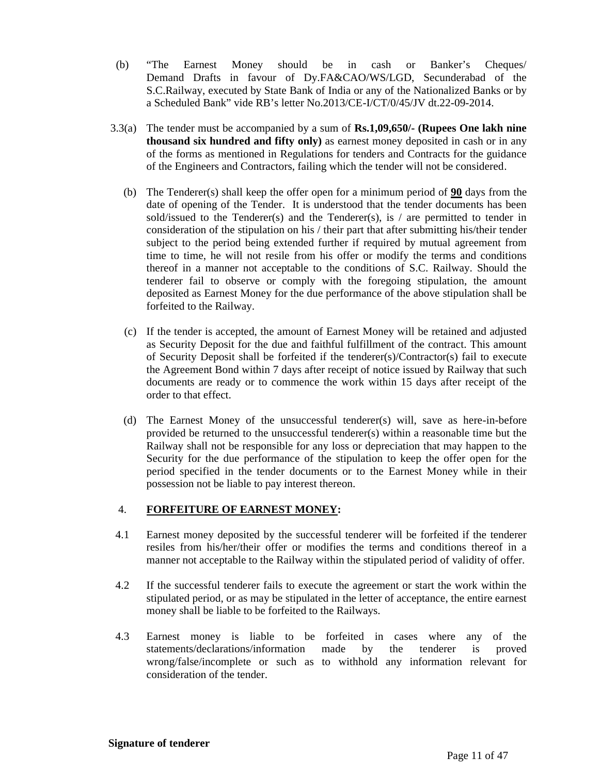- (b) "The Earnest Money should be in cash or Banker's Cheques/ Demand Drafts in favour of Dy.FA&CAO/WS/LGD, Secunderabad of the S.C.Railway, executed by State Bank of India or any of the Nationalized Banks or by a Scheduled Bank" vide RB's letter No.2013/CE-I/CT/0/45/JV dt.22-09-2014.
- 3.3(a) The tender must be accompanied by a sum of **Rs.1,09,650/- (Rupees One lakh nine thousand six hundred and fifty only)** as earnest money deposited in cash or in any of the forms as mentioned in Regulations for tenders and Contracts for the guidance of the Engineers and Contractors, failing which the tender will not be considered.
	- (b) The Tenderer(s) shall keep the offer open for a minimum period of **90** days from the date of opening of the Tender. It is understood that the tender documents has been sold/issued to the Tenderer(s) and the Tenderer(s), is  $/$  are permitted to tender in consideration of the stipulation on his / their part that after submitting his/their tender subject to the period being extended further if required by mutual agreement from time to time, he will not resile from his offer or modify the terms and conditions thereof in a manner not acceptable to the conditions of S.C. Railway. Should the tenderer fail to observe or comply with the foregoing stipulation, the amount deposited as Earnest Money for the due performance of the above stipulation shall be forfeited to the Railway.
	- (c) If the tender is accepted, the amount of Earnest Money will be retained and adjusted as Security Deposit for the due and faithful fulfillment of the contract. This amount of Security Deposit shall be forfeited if the tenderer(s)/Contractor(s) fail to execute the Agreement Bond within 7 days after receipt of notice issued by Railway that such documents are ready or to commence the work within 15 days after receipt of the order to that effect.
	- (d) The Earnest Money of the unsuccessful tenderer(s) will, save as here-in-before provided be returned to the unsuccessful tenderer(s) within a reasonable time but the Railway shall not be responsible for any loss or depreciation that may happen to the Security for the due performance of the stipulation to keep the offer open for the period specified in the tender documents or to the Earnest Money while in their possession not be liable to pay interest thereon.

#### 4. **FORFEITURE OF EARNEST MONEY:**

- 4.1 Earnest money deposited by the successful tenderer will be forfeited if the tenderer resiles from his/her/their offer or modifies the terms and conditions thereof in a manner not acceptable to the Railway within the stipulated period of validity of offer.
- 4.2 If the successful tenderer fails to execute the agreement or start the work within the stipulated period, or as may be stipulated in the letter of acceptance, the entire earnest money shall be liable to be forfeited to the Railways.
- 4.3 Earnest money is liable to be forfeited in cases where any of the statements/declarations/information made by the tenderer is proved wrong/false/incomplete or such as to withhold any information relevant for consideration of the tender.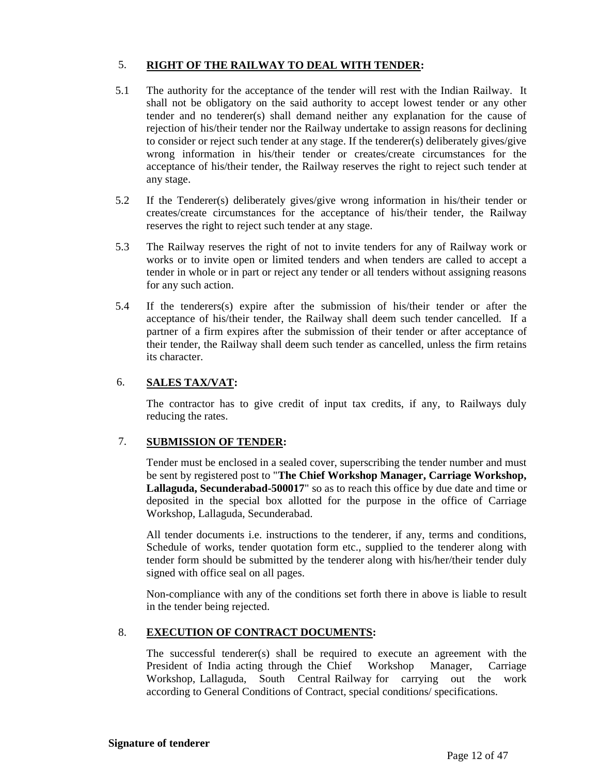## 5. **RIGHT OF THE RAILWAY TO DEAL WITH TENDER:**

- 5.1 The authority for the acceptance of the tender will rest with the Indian Railway. It shall not be obligatory on the said authority to accept lowest tender or any other tender and no tenderer(s) shall demand neither any explanation for the cause of rejection of his/their tender nor the Railway undertake to assign reasons for declining to consider or reject such tender at any stage. If the tenderer(s) deliberately gives/give wrong information in his/their tender or creates/create circumstances for the acceptance of his/their tender, the Railway reserves the right to reject such tender at any stage.
- 5.2 If the Tenderer(s) deliberately gives/give wrong information in his/their tender or creates/create circumstances for the acceptance of his/their tender, the Railway reserves the right to reject such tender at any stage.
- 5.3 The Railway reserves the right of not to invite tenders for any of Railway work or works or to invite open or limited tenders and when tenders are called to accept a tender in whole or in part or reject any tender or all tenders without assigning reasons for any such action.
- 5.4 If the tenderers(s) expire after the submission of his/their tender or after the acceptance of his/their tender, the Railway shall deem such tender cancelled. If a partner of a firm expires after the submission of their tender or after acceptance of their tender, the Railway shall deem such tender as cancelled, unless the firm retains its character.

## 6. **SALES TAX/VAT:**

The contractor has to give credit of input tax credits, if any, to Railways duly reducing the rates.

## 7. **SUBMISSION OF TENDER:**

Tender must be enclosed in a sealed cover, superscribing the tender number and must be sent by registered post to "**The Chief Workshop Manager, Carriage Workshop, Lallaguda, Secunderabad-500017**" so as to reach this office by due date and time or deposited in the special box allotted for the purpose in the office of Carriage Workshop, Lallaguda, Secunderabad.

All tender documents i.e. instructions to the tenderer, if any, terms and conditions, Schedule of works, tender quotation form etc., supplied to the tenderer along with tender form should be submitted by the tenderer along with his/her/their tender duly signed with office seal on all pages.

Non-compliance with any of the conditions set forth there in above is liable to result in the tender being rejected.

## 8. **EXECUTION OF CONTRACT DOCUMENTS:**

The successful tenderer(s) shall be required to execute an agreement with the President of India acting through the Chief Workshop Manager, Carriage Workshop, Lallaguda, South Central Railway for carrying out the work according to General Conditions of Contract, special conditions/ specifications.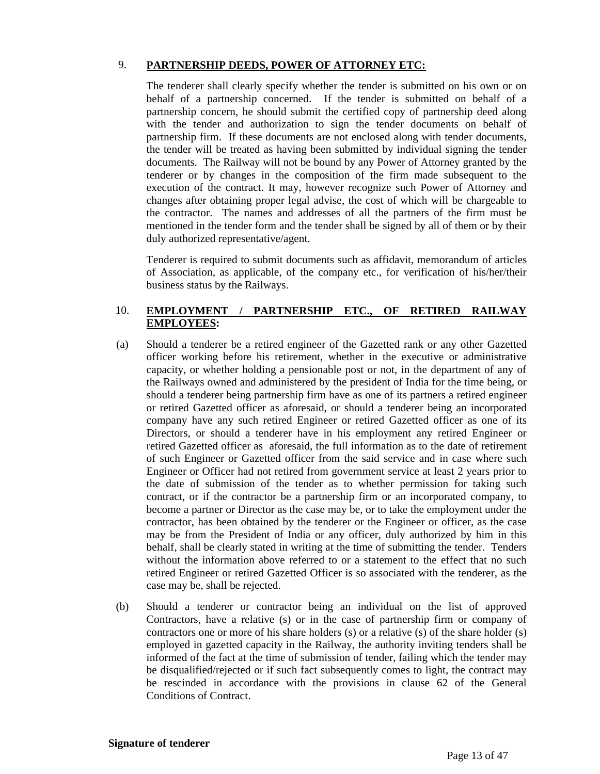## 9. **PARTNERSHIP DEEDS, POWER OF ATTORNEY ETC:**

The tenderer shall clearly specify whether the tender is submitted on his own or on behalf of a partnership concerned. If the tender is submitted on behalf of a partnership concern, he should submit the certified copy of partnership deed along with the tender and authorization to sign the tender documents on behalf of partnership firm. If these documents are not enclosed along with tender documents, the tender will be treated as having been submitted by individual signing the tender documents. The Railway will not be bound by any Power of Attorney granted by the tenderer or by changes in the composition of the firm made subsequent to the execution of the contract. It may, however recognize such Power of Attorney and changes after obtaining proper legal advise, the cost of which will be chargeable to the contractor. The names and addresses of all the partners of the firm must be mentioned in the tender form and the tender shall be signed by all of them or by their duly authorized representative/agent.

Tenderer is required to submit documents such as affidavit, memorandum of articles of Association, as applicable, of the company etc., for verification of his/her/their business status by the Railways.

## 10. **EMPLOYMENT / PARTNERSHIP ETC., OF RETIRED RAILWAY EMPLOYEES:**

- (a) Should a tenderer be a retired engineer of the Gazetted rank or any other Gazetted officer working before his retirement, whether in the executive or administrative capacity, or whether holding a pensionable post or not, in the department of any of the Railways owned and administered by the president of India for the time being, or should a tenderer being partnership firm have as one of its partners a retired engineer or retired Gazetted officer as aforesaid, or should a tenderer being an incorporated company have any such retired Engineer or retired Gazetted officer as one of its Directors, or should a tenderer have in his employment any retired Engineer or retired Gazetted officer as aforesaid, the full information as to the date of retirement of such Engineer or Gazetted officer from the said service and in case where such Engineer or Officer had not retired from government service at least 2 years prior to the date of submission of the tender as to whether permission for taking such contract, or if the contractor be a partnership firm or an incorporated company, to become a partner or Director as the case may be, or to take the employment under the contractor, has been obtained by the tenderer or the Engineer or officer, as the case may be from the President of India or any officer, duly authorized by him in this behalf, shall be clearly stated in writing at the time of submitting the tender. Tenders without the information above referred to or a statement to the effect that no such retired Engineer or retired Gazetted Officer is so associated with the tenderer, as the case may be, shall be rejected.
- (b) Should a tenderer or contractor being an individual on the list of approved Contractors, have a relative (s) or in the case of partnership firm or company of contractors one or more of his share holders (s) or a relative (s) of the share holder (s) employed in gazetted capacity in the Railway, the authority inviting tenders shall be informed of the fact at the time of submission of tender, failing which the tender may be disqualified/rejected or if such fact subsequently comes to light, the contract may be rescinded in accordance with the provisions in clause 62 of the General Conditions of Contract.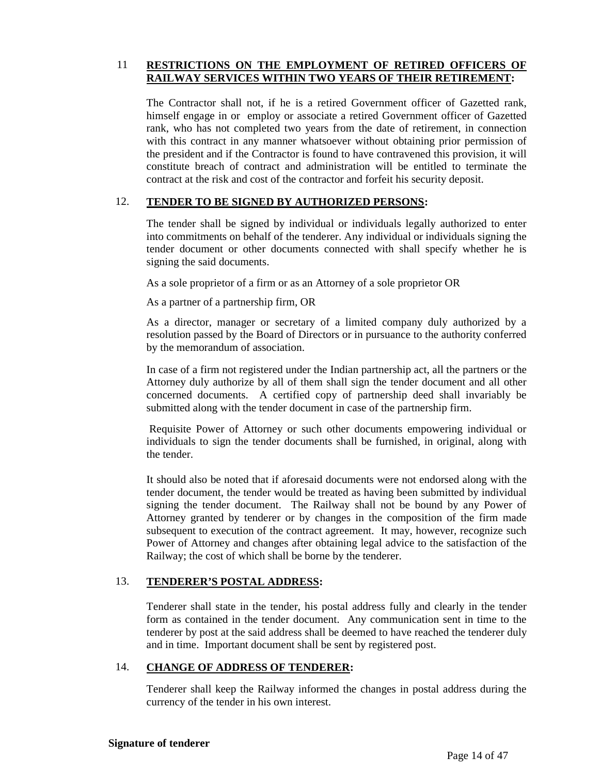#### 11 **RESTRICTIONS ON THE EMPLOYMENT OF RETIRED OFFICERS OF RAILWAY SERVICES WITHIN TWO YEARS OF THEIR RETIREMENT:**

The Contractor shall not, if he is a retired Government officer of Gazetted rank, himself engage in or employ or associate a retired Government officer of Gazetted rank, who has not completed two years from the date of retirement, in connection with this contract in any manner whatsoever without obtaining prior permission of the president and if the Contractor is found to have contravened this provision, it will constitute breach of contract and administration will be entitled to terminate the contract at the risk and cost of the contractor and forfeit his security deposit.

#### 12. **TENDER TO BE SIGNED BY AUTHORIZED PERSONS:**

The tender shall be signed by individual or individuals legally authorized to enter into commitments on behalf of the tenderer. Any individual or individuals signing the tender document or other documents connected with shall specify whether he is signing the said documents.

As a sole proprietor of a firm or as an Attorney of a sole proprietor OR

As a partner of a partnership firm, OR

As a director, manager or secretary of a limited company duly authorized by a resolution passed by the Board of Directors or in pursuance to the authority conferred by the memorandum of association.

In case of a firm not registered under the Indian partnership act, all the partners or the Attorney duly authorize by all of them shall sign the tender document and all other concerned documents. A certified copy of partnership deed shall invariably be submitted along with the tender document in case of the partnership firm.

Requisite Power of Attorney or such other documents empowering individual or individuals to sign the tender documents shall be furnished, in original, along with the tender.

It should also be noted that if aforesaid documents were not endorsed along with the tender document, the tender would be treated as having been submitted by individual signing the tender document. The Railway shall not be bound by any Power of Attorney granted by tenderer or by changes in the composition of the firm made subsequent to execution of the contract agreement. It may, however, recognize such Power of Attorney and changes after obtaining legal advice to the satisfaction of the Railway; the cost of which shall be borne by the tenderer.

#### 13. **TENDERER'S POSTAL ADDRESS:**

Tenderer shall state in the tender, his postal address fully and clearly in the tender form as contained in the tender document. Any communication sent in time to the tenderer by post at the said address shall be deemed to have reached the tenderer duly and in time. Important document shall be sent by registered post.

#### 14. **CHANGE OF ADDRESS OF TENDERER:**

Tenderer shall keep the Railway informed the changes in postal address during the currency of the tender in his own interest.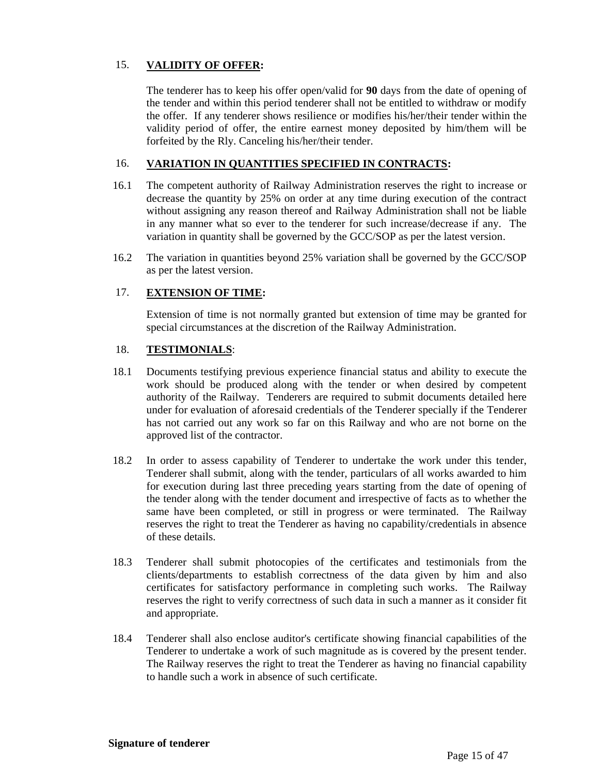## 15. **VALIDITY OF OFFER:**

The tenderer has to keep his offer open/valid for **90** days from the date of opening of the tender and within this period tenderer shall not be entitled to withdraw or modify the offer. If any tenderer shows resilience or modifies his/her/their tender within the validity period of offer, the entire earnest money deposited by him/them will be forfeited by the Rly. Canceling his/her/their tender.

#### 16. **VARIATION IN QUANTITIES SPECIFIED IN CONTRACTS:**

- 16.1 The competent authority of Railway Administration reserves the right to increase or decrease the quantity by 25% on order at any time during execution of the contract without assigning any reason thereof and Railway Administration shall not be liable in any manner what so ever to the tenderer for such increase/decrease if any. The variation in quantity shall be governed by the GCC/SOP as per the latest version.
- 16.2 The variation in quantities beyond 25% variation shall be governed by the GCC/SOP as per the latest version.

#### 17. **EXTENSION OF TIME:**

Extension of time is not normally granted but extension of time may be granted for special circumstances at the discretion of the Railway Administration.

#### 18. **TESTIMONIALS**:

- 18.1 Documents testifying previous experience financial status and ability to execute the work should be produced along with the tender or when desired by competent authority of the Railway. Tenderers are required to submit documents detailed here under for evaluation of aforesaid credentials of the Tenderer specially if the Tenderer has not carried out any work so far on this Railway and who are not borne on the approved list of the contractor.
- 18.2 In order to assess capability of Tenderer to undertake the work under this tender, Tenderer shall submit, along with the tender, particulars of all works awarded to him for execution during last three preceding years starting from the date of opening of the tender along with the tender document and irrespective of facts as to whether the same have been completed, or still in progress or were terminated. The Railway reserves the right to treat the Tenderer as having no capability/credentials in absence of these details.
- 18.3 Tenderer shall submit photocopies of the certificates and testimonials from the clients/departments to establish correctness of the data given by him and also certificates for satisfactory performance in completing such works. The Railway reserves the right to verify correctness of such data in such a manner as it consider fit and appropriate.
- 18.4 Tenderer shall also enclose auditor's certificate showing financial capabilities of the Tenderer to undertake a work of such magnitude as is covered by the present tender. The Railway reserves the right to treat the Tenderer as having no financial capability to handle such a work in absence of such certificate.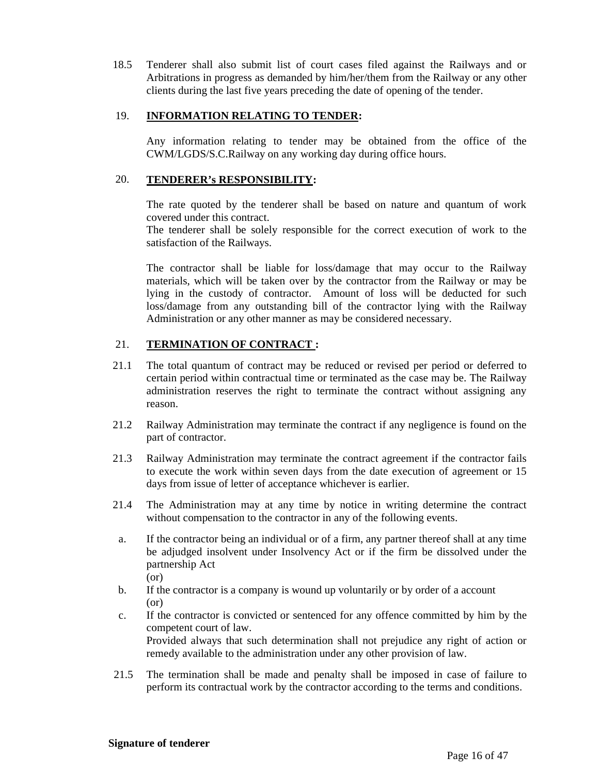18.5 Tenderer shall also submit list of court cases filed against the Railways and or Arbitrations in progress as demanded by him/her/them from the Railway or any other clients during the last five years preceding the date of opening of the tender.

#### 19. **INFORMATION RELATING TO TENDER:**

Any information relating to tender may be obtained from the office of the CWM/LGDS/S.C.Railway on any working day during office hours.

#### 20. **TENDERER's RESPONSIBILITY:**

The rate quoted by the tenderer shall be based on nature and quantum of work covered under this contract.

The tenderer shall be solely responsible for the correct execution of work to the satisfaction of the Railways.

The contractor shall be liable for loss/damage that may occur to the Railway materials, which will be taken over by the contractor from the Railway or may be lying in the custody of contractor. Amount of loss will be deducted for such loss/damage from any outstanding bill of the contractor lying with the Railway Administration or any other manner as may be considered necessary.

## 21. **TERMINATION OF CONTRACT :**

- 21.1 The total quantum of contract may be reduced or revised per period or deferred to certain period within contractual time or terminated as the case may be. The Railway administration reserves the right to terminate the contract without assigning any reason.
- 21.2 Railway Administration may terminate the contract if any negligence is found on the part of contractor.
- 21.3 Railway Administration may terminate the contract agreement if the contractor fails to execute the work within seven days from the date execution of agreement or 15 days from issue of letter of acceptance whichever is earlier.
- 21.4 The Administration may at any time by notice in writing determine the contract without compensation to the contractor in any of the following events.
- a. If the contractor being an individual or of a firm, any partner thereof shall at any time be adjudged insolvent under Insolvency Act or if the firm be dissolved under the partnership Act (or)
- b. If the contractor is a company is wound up voluntarily or by order of a account (or)
- c. If the contractor is convicted or sentenced for any offence committed by him by the competent court of law. Provided always that such determination shall not prejudice any right of action or remedy available to the administration under any other provision of law.
- 21.5 The termination shall be made and penalty shall be imposed in case of failure to perform its contractual work by the contractor according to the terms and conditions.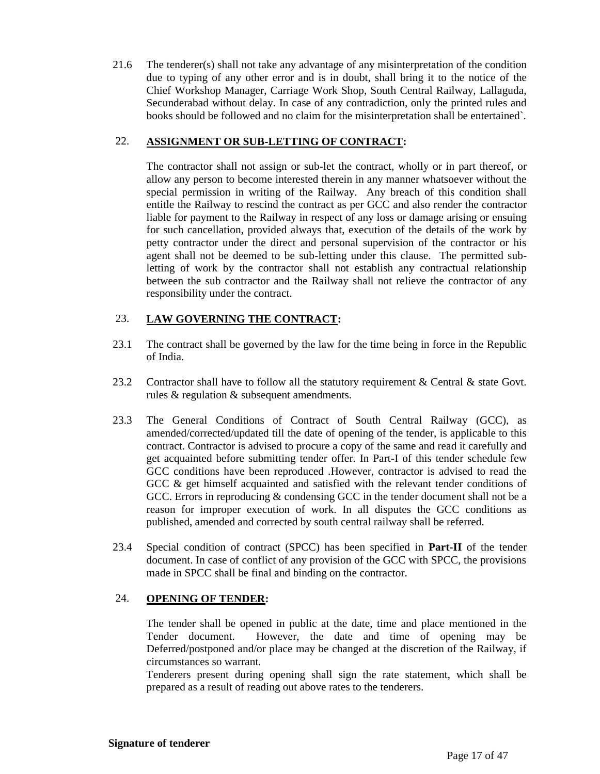21.6 The tenderer(s) shall not take any advantage of any misinterpretation of the condition due to typing of any other error and is in doubt, shall bring it to the notice of the Chief Workshop Manager, Carriage Work Shop, South Central Railway, Lallaguda, Secunderabad without delay. In case of any contradiction, only the printed rules and books should be followed and no claim for the misinterpretation shall be entertained`.

## 22. **ASSIGNMENT OR SUB-LETTING OF CONTRACT:**

The contractor shall not assign or sub-let the contract, wholly or in part thereof, or allow any person to become interested therein in any manner whatsoever without the special permission in writing of the Railway. Any breach of this condition shall entitle the Railway to rescind the contract as per GCC and also render the contractor liable for payment to the Railway in respect of any loss or damage arising or ensuing for such cancellation, provided always that, execution of the details of the work by petty contractor under the direct and personal supervision of the contractor or his agent shall not be deemed to be sub-letting under this clause. The permitted subletting of work by the contractor shall not establish any contractual relationship between the sub contractor and the Railway shall not relieve the contractor of any responsibility under the contract.

#### 23. **LAW GOVERNING THE CONTRACT:**

- 23.1 The contract shall be governed by the law for the time being in force in the Republic of India.
- 23.2 Contractor shall have to follow all the statutory requirement & Central & state Govt. rules & regulation & subsequent amendments.
- 23.3 The General Conditions of Contract of South Central Railway (GCC), as amended/corrected/updated till the date of opening of the tender, is applicable to this contract. Contractor is advised to procure a copy of the same and read it carefully and get acquainted before submitting tender offer. In Part-I of this tender schedule few GCC conditions have been reproduced .However, contractor is advised to read the GCC  $\&$  get himself acquainted and satisfied with the relevant tender conditions of GCC. Errors in reproducing & condensing GCC in the tender document shall not be a reason for improper execution of work. In all disputes the GCC conditions as published, amended and corrected by south central railway shall be referred.
- 23.4 Special condition of contract (SPCC) has been specified in **Part-II** of the tender document. In case of conflict of any provision of the GCC with SPCC, the provisions made in SPCC shall be final and binding on the contractor.

#### 24. **OPENING OF TENDER:**

The tender shall be opened in public at the date, time and place mentioned in the Tender document. However, the date and time of opening may be Deferred/postponed and/or place may be changed at the discretion of the Railway, if circumstances so warrant.

Tenderers present during opening shall sign the rate statement, which shall be prepared as a result of reading out above rates to the tenderers.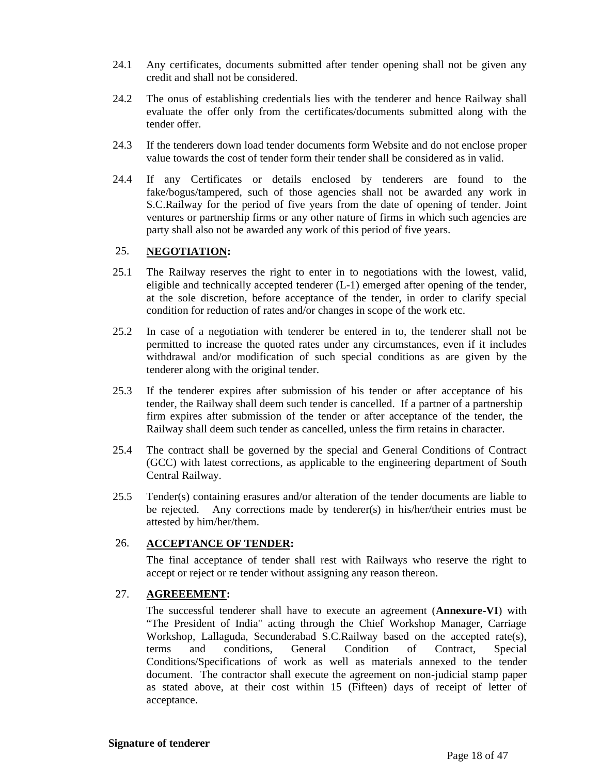- 24.1 Any certificates, documents submitted after tender opening shall not be given any credit and shall not be considered.
- 24.2 The onus of establishing credentials lies with the tenderer and hence Railway shall evaluate the offer only from the certificates/documents submitted along with the tender offer.
- 24.3 If the tenderers down load tender documents form Website and do not enclose proper value towards the cost of tender form their tender shall be considered as in valid.
- 24.4 If any Certificates or details enclosed by tenderers are found to the fake/bogus/tampered, such of those agencies shall not be awarded any work in S.C.Railway for the period of five years from the date of opening of tender. Joint ventures or partnership firms or any other nature of firms in which such agencies are party shall also not be awarded any work of this period of five years.

## 25. **NEGOTIATION:**

- 25.1 The Railway reserves the right to enter in to negotiations with the lowest, valid, eligible and technically accepted tenderer (L-1) emerged after opening of the tender, at the sole discretion, before acceptance of the tender, in order to clarify special condition for reduction of rates and/or changes in scope of the work etc.
- 25.2 In case of a negotiation with tenderer be entered in to, the tenderer shall not be permitted to increase the quoted rates under any circumstances, even if it includes withdrawal and/or modification of such special conditions as are given by the tenderer along with the original tender.
- 25.3 If the tenderer expires after submission of his tender or after acceptance of his tender, the Railway shall deem such tender is cancelled. If a partner of a partnership firm expires after submission of the tender or after acceptance of the tender, the Railway shall deem such tender as cancelled, unless the firm retains in character.
- 25.4 The contract shall be governed by the special and General Conditions of Contract (GCC) with latest corrections, as applicable to the engineering department of South Central Railway.
- 25.5 Tender(s) containing erasures and/or alteration of the tender documents are liable to be rejected. Any corrections made by tenderer(s) in his/her/their entries must be attested by him/her/them.

#### 26. **ACCEPTANCE OF TENDER:**

The final acceptance of tender shall rest with Railways who reserve the right to accept or reject or re tender without assigning any reason thereon.

#### 27. **AGREEEMENT:**

The successful tenderer shall have to execute an agreement (**Annexure-VI**) with "The President of India" acting through the Chief Workshop Manager, Carriage Workshop, Lallaguda, Secunderabad S.C.Railway based on the accepted rate(s), terms and conditions, General Condition of Contract, Special Conditions/Specifications of work as well as materials annexed to the tender document. The contractor shall execute the agreement on non-judicial stamp paper as stated above, at their cost within 15 (Fifteen) days of receipt of letter of acceptance.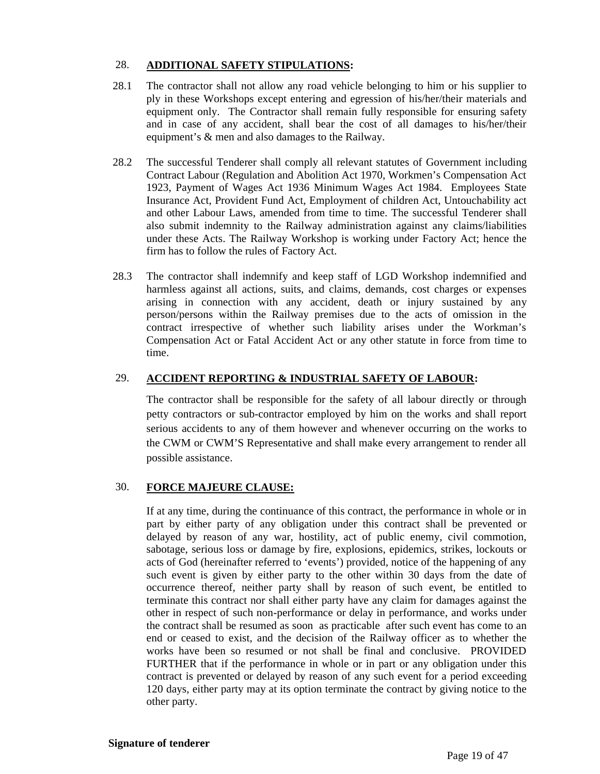## 28. **ADDITIONAL SAFETY STIPULATIONS:**

- 28.1 The contractor shall not allow any road vehicle belonging to him or his supplier to ply in these Workshops except entering and egression of his/her/their materials and equipment only. The Contractor shall remain fully responsible for ensuring safety and in case of any accident, shall bear the cost of all damages to his/her/their equipment's & men and also damages to the Railway.
- 28.2 The successful Tenderer shall comply all relevant statutes of Government including Contract Labour (Regulation and Abolition Act 1970, Workmen's Compensation Act 1923, Payment of Wages Act 1936 Minimum Wages Act 1984. Employees State Insurance Act, Provident Fund Act, Employment of children Act, Untouchability act and other Labour Laws, amended from time to time. The successful Tenderer shall also submit indemnity to the Railway administration against any claims/liabilities under these Acts. The Railway Workshop is working under Factory Act; hence the firm has to follow the rules of Factory Act.
- 28.3 The contractor shall indemnify and keep staff of LGD Workshop indemnified and harmless against all actions, suits, and claims, demands, cost charges or expenses arising in connection with any accident, death or injury sustained by any person/persons within the Railway premises due to the acts of omission in the contract irrespective of whether such liability arises under the Workman's Compensation Act or Fatal Accident Act or any other statute in force from time to time.

## 29. **ACCIDENT REPORTING & INDUSTRIAL SAFETY OF LABOUR:**

The contractor shall be responsible for the safety of all labour directly or through petty contractors or sub-contractor employed by him on the works and shall report serious accidents to any of them however and whenever occurring on the works to the CWM or CWM'S Representative and shall make every arrangement to render all possible assistance.

## 30. **FORCE MAJEURE CLAUSE:**

If at any time, during the continuance of this contract, the performance in whole or in part by either party of any obligation under this contract shall be prevented or delayed by reason of any war, hostility, act of public enemy, civil commotion, sabotage, serious loss or damage by fire, explosions, epidemics, strikes, lockouts or acts of God (hereinafter referred to 'events') provided, notice of the happening of any such event is given by either party to the other within 30 days from the date of occurrence thereof, neither party shall by reason of such event, be entitled to terminate this contract nor shall either party have any claim for damages against the other in respect of such non-performance or delay in performance, and works under the contract shall be resumed as soon as practicable after such event has come to an end or ceased to exist, and the decision of the Railway officer as to whether the works have been so resumed or not shall be final and conclusive. PROVIDED FURTHER that if the performance in whole or in part or any obligation under this contract is prevented or delayed by reason of any such event for a period exceeding 120 days, either party may at its option terminate the contract by giving notice to the other party.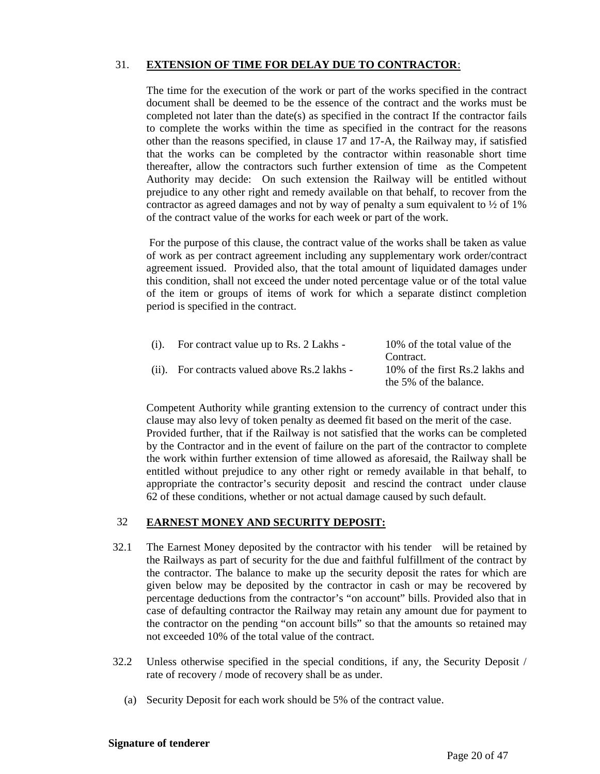## 31. **EXTENSION OF TIME FOR DELAY DUE TO CONTRACTOR**:

The time for the execution of the work or part of the works specified in the contract document shall be deemed to be the essence of the contract and the works must be completed not later than the date(s) as specified in the contract If the contractor fails to complete the works within the time as specified in the contract for the reasons other than the reasons specified, in clause 17 and 17-A, the Railway may, if satisfied that the works can be completed by the contractor within reasonable short time thereafter, allow the contractors such further extension of time as the Competent Authority may decide: On such extension the Railway will be entitled without prejudice to any other right and remedy available on that behalf, to recover from the contractor as agreed damages and not by way of penalty a sum equivalent to  $\frac{1}{2}$  of 1% of the contract value of the works for each week or part of the work.

For the purpose of this clause, the contract value of the works shall be taken as value of work as per contract agreement including any supplementary work order/contract agreement issued. Provided also, that the total amount of liquidated damages under this condition, shall not exceed the under noted percentage value or of the total value of the item or groups of items of work for which a separate distinct completion period is specified in the contract.

| (i). | For contract value up to Rs. 2 Lakhs -        | 10% of the total value of the   |
|------|-----------------------------------------------|---------------------------------|
|      |                                               | Contract.                       |
|      | (ii). For contracts valued above Rs.2 lakhs - | 10% of the first Rs.2 lakhs and |
|      |                                               | the 5% of the balance.          |

Competent Authority while granting extension to the currency of contract under this clause may also levy of token penalty as deemed fit based on the merit of the case. Provided further, that if the Railway is not satisfied that the works can be completed by the Contractor and in the event of failure on the part of the contractor to complete the work within further extension of time allowed as aforesaid, the Railway shall be entitled without prejudice to any other right or remedy available in that behalf, to appropriate the contractor's security deposit and rescind the contract under clause 62 of these conditions, whether or not actual damage caused by such default.

#### 32 **EARNEST MONEY AND SECURITY DEPOSIT:**

- 32.1 The Earnest Money deposited by the contractor with his tender will be retained by the Railways as part of security for the due and faithful fulfillment of the contract by the contractor. The balance to make up the security deposit the rates for which are given below may be deposited by the contractor in cash or may be recovered by percentage deductions from the contractor's "on account" bills. Provided also that in case of defaulting contractor the Railway may retain any amount due for payment to the contractor on the pending "on account bills" so that the amounts so retained may not exceeded 10% of the total value of the contract.
- 32.2 Unless otherwise specified in the special conditions, if any, the Security Deposit / rate of recovery / mode of recovery shall be as under.
	- (a) Security Deposit for each work should be 5% of the contract value.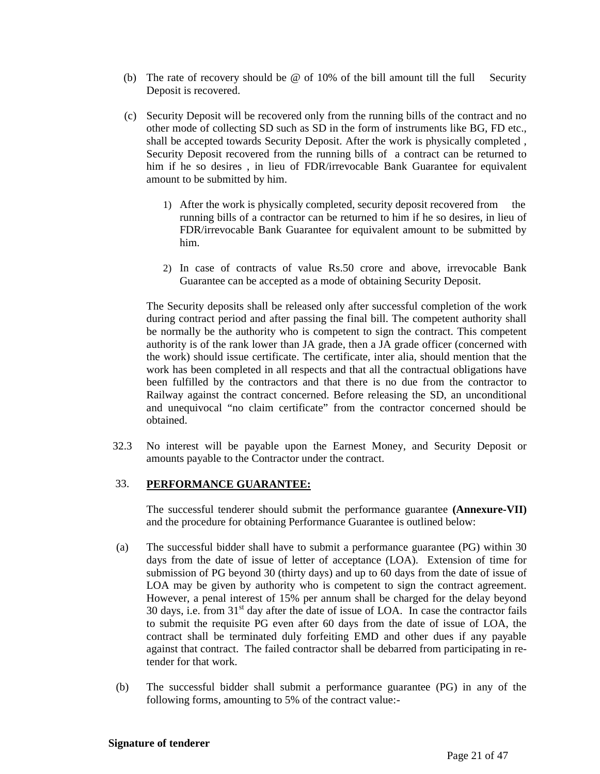- (b) The rate of recovery should be  $\omega$  of 10% of the bill amount till the full Security Deposit is recovered.
- (c) Security Deposit will be recovered only from the running bills of the contract and no other mode of collecting SD such as SD in the form of instruments like BG, FD etc., shall be accepted towards Security Deposit. After the work is physically completed , Security Deposit recovered from the running bills of a contract can be returned to him if he so desires , in lieu of FDR/irrevocable Bank Guarantee for equivalent amount to be submitted by him.
	- 1) After the work is physically completed, security deposit recovered from the running bills of a contractor can be returned to him if he so desires, in lieu of FDR/irrevocable Bank Guarantee for equivalent amount to be submitted by him.
	- 2) In case of contracts of value Rs.50 crore and above, irrevocable Bank Guarantee can be accepted as a mode of obtaining Security Deposit.

The Security deposits shall be released only after successful completion of the work during contract period and after passing the final bill. The competent authority shall be normally be the authority who is competent to sign the contract. This competent authority is of the rank lower than JA grade, then a JA grade officer (concerned with the work) should issue certificate. The certificate, inter alia, should mention that the work has been completed in all respects and that all the contractual obligations have been fulfilled by the contractors and that there is no due from the contractor to Railway against the contract concerned. Before releasing the SD, an unconditional and unequivocal "no claim certificate" from the contractor concerned should be obtained.

32.3 No interest will be payable upon the Earnest Money, and Security Deposit or amounts payable to the Contractor under the contract.

#### 33. **PERFORMANCE GUARANTEE:**

The successful tenderer should submit the performance guarantee **(Annexure-VII)** and the procedure for obtaining Performance Guarantee is outlined below:

- (a) The successful bidder shall have to submit a performance guarantee (PG) within 30 days from the date of issue of letter of acceptance (LOA). Extension of time for submission of PG beyond 30 (thirty days) and up to 60 days from the date of issue of LOA may be given by authority who is competent to sign the contract agreement. However, a penal interest of 15% per annum shall be charged for the delay beyond 30 days, i.e. from  $31<sup>st</sup>$  day after the date of issue of LOA. In case the contractor fails to submit the requisite PG even after 60 days from the date of issue of LOA, the contract shall be terminated duly forfeiting EMD and other dues if any payable against that contract. The failed contractor shall be debarred from participating in retender for that work.
- (b) The successful bidder shall submit a performance guarantee (PG) in any of the following forms, amounting to 5% of the contract value:-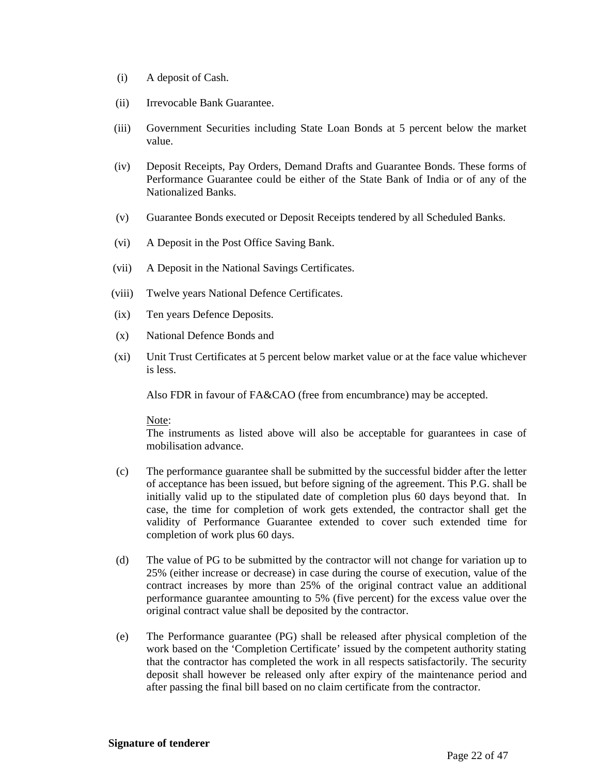- (i) A deposit of Cash.
- (ii) Irrevocable Bank Guarantee.
- (iii) Government Securities including State Loan Bonds at 5 percent below the market value.
- (iv) Deposit Receipts, Pay Orders, Demand Drafts and Guarantee Bonds. These forms of Performance Guarantee could be either of the State Bank of India or of any of the Nationalized Banks.
- (v) Guarantee Bonds executed or Deposit Receipts tendered by all Scheduled Banks.
- (vi) A Deposit in the Post Office Saving Bank.
- (vii) A Deposit in the National Savings Certificates.
- (viii) Twelve years National Defence Certificates.
- (ix) Ten years Defence Deposits.
- (x) National Defence Bonds and
- (xi) Unit Trust Certificates at 5 percent below market value or at the face value whichever is less.

Also FDR in favour of FA&CAO (free from encumbrance) may be accepted.

#### Note:

The instruments as listed above will also be acceptable for guarantees in case of mobilisation advance.

- (c) The performance guarantee shall be submitted by the successful bidder after the letter of acceptance has been issued, but before signing of the agreement. This P.G. shall be initially valid up to the stipulated date of completion plus 60 days beyond that. In case, the time for completion of work gets extended, the contractor shall get the validity of Performance Guarantee extended to cover such extended time for completion of work plus 60 days.
- (d) The value of PG to be submitted by the contractor will not change for variation up to 25% (either increase or decrease) in case during the course of execution, value of the contract increases by more than 25% of the original contract value an additional performance guarantee amounting to 5% (five percent) for the excess value over the original contract value shall be deposited by the contractor.
- (e) The Performance guarantee (PG) shall be released after physical completion of the work based on the 'Completion Certificate' issued by the competent authority stating that the contractor has completed the work in all respects satisfactorily. The security deposit shall however be released only after expiry of the maintenance period and after passing the final bill based on no claim certificate from the contractor.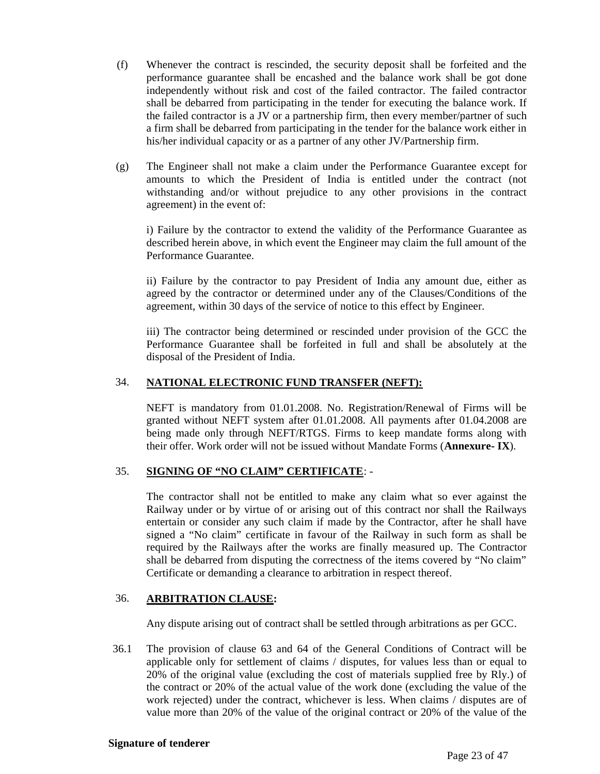- (f) Whenever the contract is rescinded, the security deposit shall be forfeited and the performance guarantee shall be encashed and the balance work shall be got done independently without risk and cost of the failed contractor. The failed contractor shall be debarred from participating in the tender for executing the balance work. If the failed contractor is a JV or a partnership firm, then every member/partner of such a firm shall be debarred from participating in the tender for the balance work either in his/her individual capacity or as a partner of any other JV/Partnership firm.
- (g) The Engineer shall not make a claim under the Performance Guarantee except for amounts to which the President of India is entitled under the contract (not withstanding and/or without prejudice to any other provisions in the contract agreement) in the event of:

i) Failure by the contractor to extend the validity of the Performance Guarantee as described herein above, in which event the Engineer may claim the full amount of the Performance Guarantee.

ii) Failure by the contractor to pay President of India any amount due, either as agreed by the contractor or determined under any of the Clauses/Conditions of the agreement, within 30 days of the service of notice to this effect by Engineer.

iii) The contractor being determined or rescinded under provision of the GCC the Performance Guarantee shall be forfeited in full and shall be absolutely at the disposal of the President of India.

## 34. **NATIONAL ELECTRONIC FUND TRANSFER (NEFT):**

NEFT is mandatory from 01.01.2008. No. Registration/Renewal of Firms will be granted without NEFT system after 01.01.2008. All payments after 01.04.2008 are being made only through NEFT/RTGS. Firms to keep mandate forms along with their offer. Work order will not be issued without Mandate Forms (**Annexure- IX**).

#### 35. **SIGNING OF "NO CLAIM" CERTIFICATE**: -

The contractor shall not be entitled to make any claim what so ever against the Railway under or by virtue of or arising out of this contract nor shall the Railways entertain or consider any such claim if made by the Contractor, after he shall have signed a "No claim" certificate in favour of the Railway in such form as shall be required by the Railways after the works are finally measured up. The Contractor shall be debarred from disputing the correctness of the items covered by "No claim" Certificate or demanding a clearance to arbitration in respect thereof.

#### 36. **ARBITRATION CLAUSE:**

Any dispute arising out of contract shall be settled through arbitrations as per GCC.

36.1 The provision of clause 63 and 64 of the General Conditions of Contract will be applicable only for settlement of claims / disputes, for values less than or equal to 20% of the original value (excluding the cost of materials supplied free by Rly.) of the contract or 20% of the actual value of the work done (excluding the value of the work rejected) under the contract, whichever is less. When claims / disputes are of value more than 20% of the value of the original contract or 20% of the value of the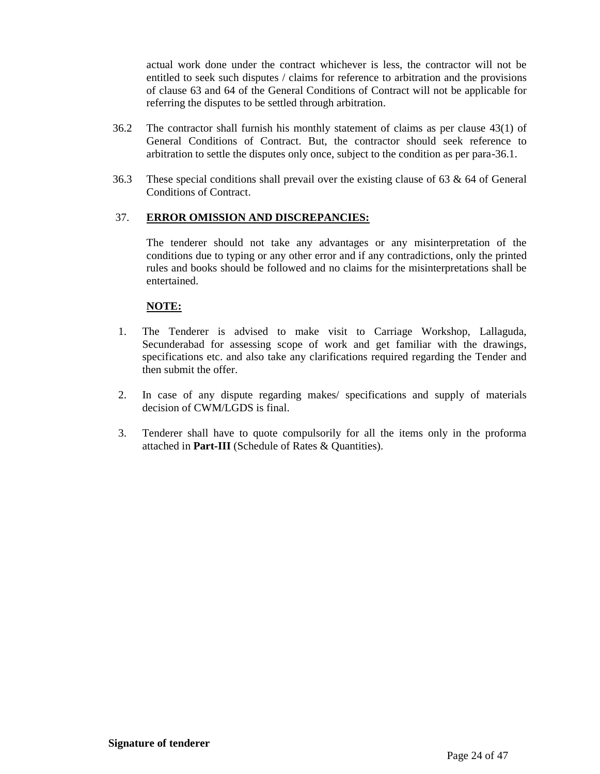actual work done under the contract whichever is less, the contractor will not be entitled to seek such disputes / claims for reference to arbitration and the provisions of clause 63 and 64 of the General Conditions of Contract will not be applicable for referring the disputes to be settled through arbitration.

- 36.2 The contractor shall furnish his monthly statement of claims as per clause 43(1) of General Conditions of Contract. But, the contractor should seek reference to arbitration to settle the disputes only once, subject to the condition as per para-36.1.
- 36.3 These special conditions shall prevail over the existing clause of 63 & 64 of General Conditions of Contract.

#### 37. **ERROR OMISSION AND DISCREPANCIES:**

The tenderer should not take any advantages or any misinterpretation of the conditions due to typing or any other error and if any contradictions, only the printed rules and books should be followed and no claims for the misinterpretations shall be entertained.

#### **NOTE:**

- 1. The Tenderer is advised to make visit to Carriage Workshop, Lallaguda, Secunderabad for assessing scope of work and get familiar with the drawings, specifications etc. and also take any clarifications required regarding the Tender and then submit the offer.
- 2. In case of any dispute regarding makes/ specifications and supply of materials decision of CWM/LGDS is final.
- 3. Tenderer shall have to quote compulsorily for all the items only in the proforma attached in **Part-III** (Schedule of Rates & Quantities).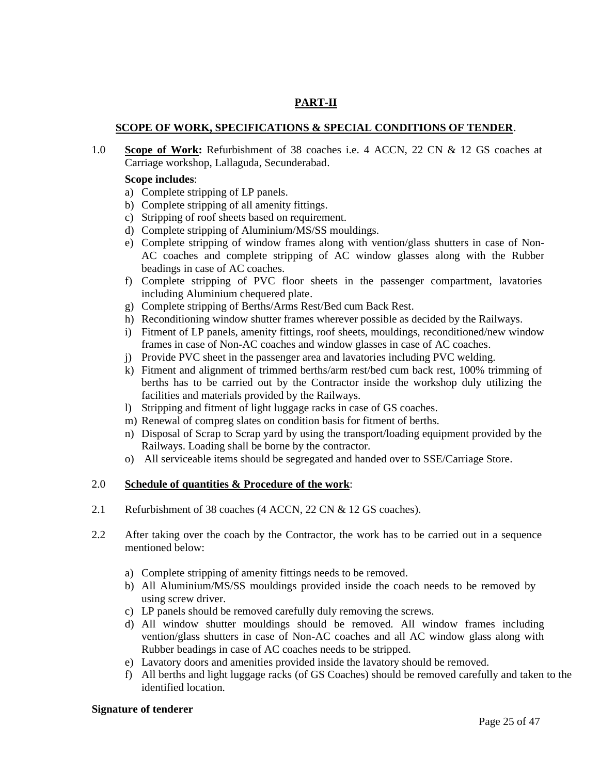## **PART-II**

#### **SCOPE OF WORK, SPECIFICATIONS & SPECIAL CONDITIONS OF TENDER**.

1.0 **Scope of Work:** Refurbishment of 38 coaches i.e. 4 ACCN, 22 CN & 12 GS coaches at Carriage workshop, Lallaguda, Secunderabad.

#### **Scope includes**:

- a) Complete stripping of LP panels.
- b) Complete stripping of all amenity fittings.
- c) Stripping of roof sheets based on requirement.
- d) Complete stripping of Aluminium/MS/SS mouldings.
- e) Complete stripping of window frames along with vention/glass shutters in case of Non-AC coaches and complete stripping of AC window glasses along with the Rubber beadings in case of AC coaches.
- f) Complete stripping of PVC floor sheets in the passenger compartment, lavatories including Aluminium chequered plate.
- g) Complete stripping of Berths/Arms Rest/Bed cum Back Rest.
- h) Reconditioning window shutter frames wherever possible as decided by the Railways.
- i) Fitment of LP panels, amenity fittings, roof sheets, mouldings, reconditioned/new window frames in case of Non-AC coaches and window glasses in case of AC coaches.
- j) Provide PVC sheet in the passenger area and lavatories including PVC welding.
- k) Fitment and alignment of trimmed berths/arm rest/bed cum back rest, 100% trimming of berths has to be carried out by the Contractor inside the workshop duly utilizing the facilities and materials provided by the Railways.
- l) Stripping and fitment of light luggage racks in case of GS coaches.
- m) Renewal of compreg slates on condition basis for fitment of berths.
- n) Disposal of Scrap to Scrap yard by using the transport/loading equipment provided by the Railways. Loading shall be borne by the contractor.
- o) All serviceable items should be segregated and handed over to SSE/Carriage Store.

#### 2.0 **Schedule of quantities & Procedure of the work**:

- 2.1 Refurbishment of 38 coaches (4 ACCN, 22 CN & 12 GS coaches).
- 2.2 After taking over the coach by the Contractor, the work has to be carried out in a sequence mentioned below:
	- a) Complete stripping of amenity fittings needs to be removed.
	- b) All Aluminium/MS/SS mouldings provided inside the coach needs to be removed by using screw driver.
	- c) LP panels should be removed carefully duly removing the screws.
	- d) All window shutter mouldings should be removed. All window frames including vention/glass shutters in case of Non-AC coaches and all AC window glass along with Rubber beadings in case of AC coaches needs to be stripped.
	- e) Lavatory doors and amenities provided inside the lavatory should be removed.
	- f) All berths and light luggage racks (of GS Coaches) should be removed carefully and taken to the identified location.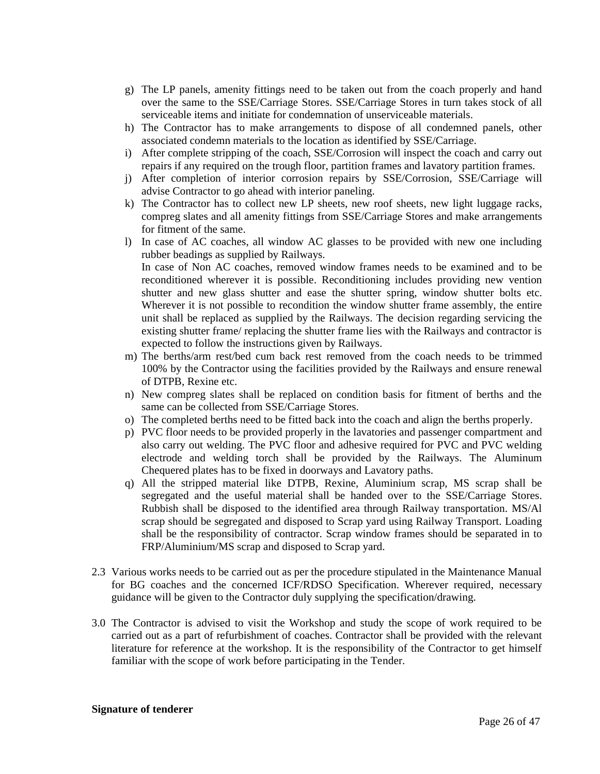- g) The LP panels, amenity fittings need to be taken out from the coach properly and hand over the same to the SSE/Carriage Stores. SSE/Carriage Stores in turn takes stock of all serviceable items and initiate for condemnation of unserviceable materials.
- h) The Contractor has to make arrangements to dispose of all condemned panels, other associated condemn materials to the location as identified by SSE/Carriage.
- i) After complete stripping of the coach, SSE/Corrosion will inspect the coach and carry out repairs if any required on the trough floor, partition frames and lavatory partition frames.
- j) After completion of interior corrosion repairs by SSE/Corrosion, SSE/Carriage will advise Contractor to go ahead with interior paneling.
- k) The Contractor has to collect new LP sheets, new roof sheets, new light luggage racks, compreg slates and all amenity fittings from SSE/Carriage Stores and make arrangements for fitment of the same.
- l) In case of AC coaches, all window AC glasses to be provided with new one including rubber beadings as supplied by Railways. In case of Non AC coaches, removed window frames needs to be examined and to be reconditioned wherever it is possible. Reconditioning includes providing new vention shutter and new glass shutter and ease the shutter spring, window shutter bolts etc. Wherever it is not possible to recondition the window shutter frame assembly, the entire unit shall be replaced as supplied by the Railways. The decision regarding servicing the existing shutter frame/ replacing the shutter frame lies with the Railways and contractor is expected to follow the instructions given by Railways.
- m) The berths/arm rest/bed cum back rest removed from the coach needs to be trimmed 100% by the Contractor using the facilities provided by the Railways and ensure renewal of DTPB, Rexine etc.
- n) New compreg slates shall be replaced on condition basis for fitment of berths and the same can be collected from SSE/Carriage Stores.
- o) The completed berths need to be fitted back into the coach and align the berths properly.
- p) PVC floor needs to be provided properly in the lavatories and passenger compartment and also carry out welding. The PVC floor and adhesive required for PVC and PVC welding electrode and welding torch shall be provided by the Railways. The Aluminum Chequered plates has to be fixed in doorways and Lavatory paths.
- q) All the stripped material like DTPB, Rexine, Aluminium scrap, MS scrap shall be segregated and the useful material shall be handed over to the SSE/Carriage Stores. Rubbish shall be disposed to the identified area through Railway transportation. MS/Al scrap should be segregated and disposed to Scrap yard using Railway Transport. Loading shall be the responsibility of contractor. Scrap window frames should be separated in to FRP/Aluminium/MS scrap and disposed to Scrap yard.
- 2.3 Various works needs to be carried out as per the procedure stipulated in the Maintenance Manual for BG coaches and the concerned ICF/RDSO Specification. Wherever required, necessary guidance will be given to the Contractor duly supplying the specification/drawing.
- 3.0 The Contractor is advised to visit the Workshop and study the scope of work required to be carried out as a part of refurbishment of coaches. Contractor shall be provided with the relevant literature for reference at the workshop. It is the responsibility of the Contractor to get himself familiar with the scope of work before participating in the Tender.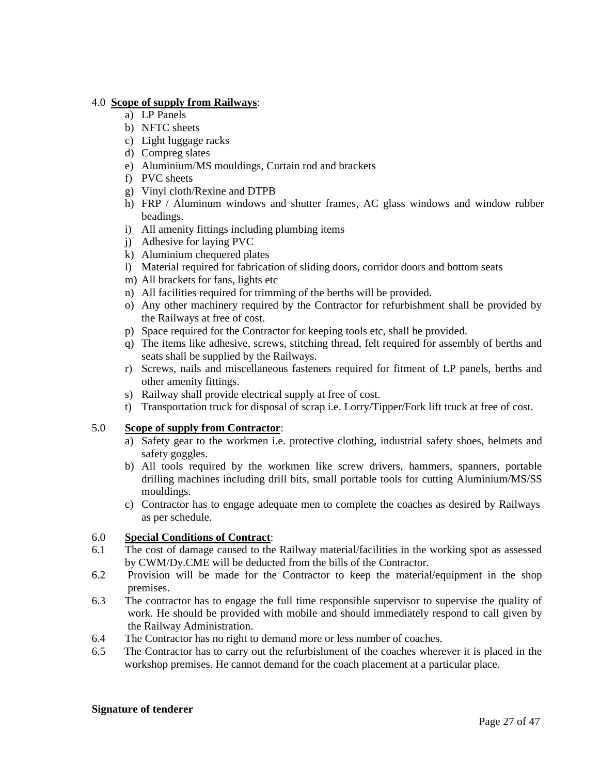#### 4.0 **Scope of supply from Railways**:

- a) LP Panels
- b) NFTC sheets
- c) Light luggage racks
- d) Compreg slates
- e) Aluminium/MS mouldings, Curtain rod and brackets
- f) PVC sheets
- g) Vinyl cloth/Rexine and DTPB
- h) FRP / Aluminum windows and shutter frames, AC glass windows and window rubber beadings.
- i) All amenity fittings including plumbing items
- j) Adhesive for laying PVC
- k) Aluminium chequered plates
- l) Material required for fabrication of sliding doors, corridor doors and bottom seats
- m) All brackets for fans, lights etc
- n) All facilities required for trimming of the berths will be provided.
- o) Any other machinery required by the Contractor for refurbishment shall be provided by the Railways at free of cost.
- p) Space required for the Contractor for keeping tools etc, shall be provided.
- q) The items like adhesive, screws, stitching thread, felt required for assembly of berths and seats shall be supplied by the Railways.
- r) Screws, nails and miscellaneous fasteners required for fitment of LP panels, berths and other amenity fittings.
- s) Railway shall provide electrical supply at free of cost.
- t) Transportation truck for disposal of scrap i.e. Lorry/Tipper/Fork lift truck at free of cost.

#### 5.0 **Scope of supply from Contractor**:

- a) Safety gear to the workmen i.e. protective clothing, industrial safety shoes, helmets and safety goggles.
- b) All tools required by the workmen like screw drivers, hammers, spanners, portable drilling machines including drill bits, small portable tools for cutting Aluminium/MS/SS mouldings.
- c) Contractor has to engage adequate men to complete the coaches as desired by Railways as per schedule.

#### 6.0 **Special Conditions of Contract**:

- 6.1 The cost of damage caused to the Railway material/facilities in the working spot as assessed by CWM/Dy.CME will be deducted from the bills of the Contractor.
- 6.2 Provision will be made for the Contractor to keep the material/equipment in the shop premises.
- 6.3 The contractor has to engage the full time responsible supervisor to supervise the quality of work. He should be provided with mobile and should immediately respond to call given by the Railway Administration.
- 6.4 The Contractor has no right to demand more or less number of coaches.
- 6.5 The Contractor has to carry out the refurbishment of the coaches wherever it is placed in the workshop premises. He cannot demand for the coach placement at a particular place.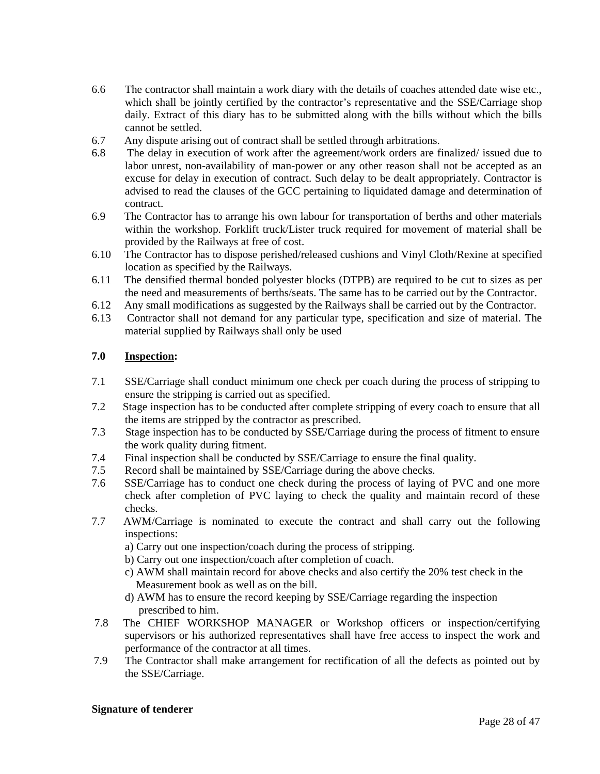- 6.6 The contractor shall maintain a work diary with the details of coaches attended date wise etc., which shall be jointly certified by the contractor's representative and the SSE/Carriage shop daily. Extract of this diary has to be submitted along with the bills without which the bills cannot be settled.
- 6.7 Any dispute arising out of contract shall be settled through arbitrations.
- 6.8 The delay in execution of work after the agreement/work orders are finalized/ issued due to labor unrest, non-availability of man-power or any other reason shall not be accepted as an excuse for delay in execution of contract. Such delay to be dealt appropriately. Contractor is advised to read the clauses of the GCC pertaining to liquidated damage and determination of contract.
- 6.9 The Contractor has to arrange his own labour for transportation of berths and other materials within the workshop. Forklift truck/Lister truck required for movement of material shall be provided by the Railways at free of cost.
- 6.10 The Contractor has to dispose perished/released cushions and Vinyl Cloth/Rexine at specified location as specified by the Railways.
- 6.11 The densified thermal bonded polyester blocks (DTPB) are required to be cut to sizes as per the need and measurements of berths/seats. The same has to be carried out by the Contractor.
- 6.12 Any small modifications as suggested by the Railways shall be carried out by the Contractor.
- 6.13 Contractor shall not demand for any particular type, specification and size of material. The material supplied by Railways shall only be used

#### **7.0 Inspection:**

- 7.1 SSE/Carriage shall conduct minimum one check per coach during the process of stripping to ensure the stripping is carried out as specified.
- 7.2 Stage inspection has to be conducted after complete stripping of every coach to ensure that all the items are stripped by the contractor as prescribed.
- 7.3 Stage inspection has to be conducted by SSE/Carriage during the process of fitment to ensure the work quality during fitment.
- 7.4 Final inspection shall be conducted by SSE/Carriage to ensure the final quality.
- 7.5 Record shall be maintained by SSE/Carriage during the above checks.
- 7.6 SSE/Carriage has to conduct one check during the process of laying of PVC and one more check after completion of PVC laying to check the quality and maintain record of these checks.
- 7.7 AWM/Carriage is nominated to execute the contract and shall carry out the following inspections:
	- a) Carry out one inspection/coach during the process of stripping.
	- b) Carry out one inspection/coach after completion of coach.
	- c) AWM shall maintain record for above checks and also certify the 20% test check in the Measurement book as well as on the bill.
	- d) AWM has to ensure the record keeping by SSE/Carriage regarding the inspection prescribed to him.
- 7.8 The CHIEF WORKSHOP MANAGER or Workshop officers or inspection/certifying supervisors or his authorized representatives shall have free access to inspect the work and performance of the contractor at all times.
- 7.9 The Contractor shall make arrangement for rectification of all the defects as pointed out by the SSE/Carriage.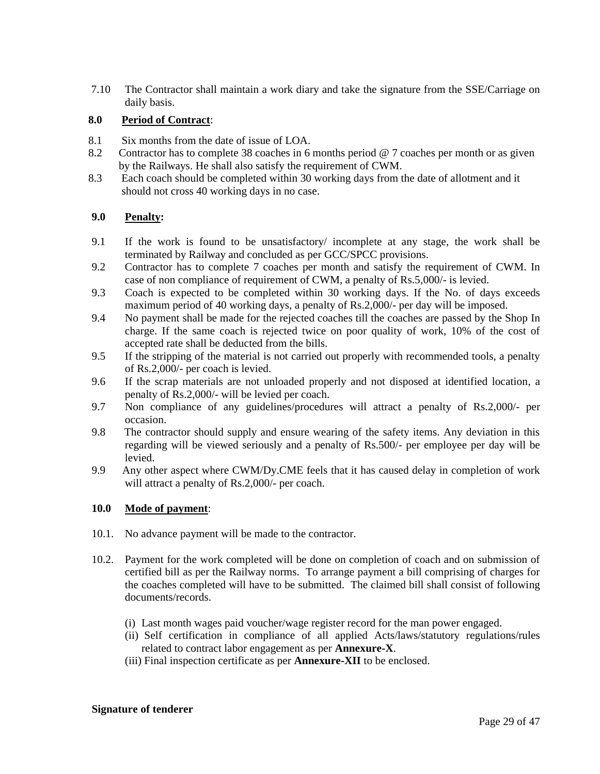7.10 The Contractor shall maintain a work diary and take the signature from the SSE/Carriage on daily basis.

## **8.0 Period of Contract**:

- 8.1 Six months from the date of issue of LOA.
- 8.2 Contractor has to complete 38 coaches in 6 months period @ 7 coaches per month or as given by the Railways. He shall also satisfy the requirement of CWM.
- 8.3 Each coach should be completed within 30 working days from the date of allotment and it should not cross 40 working days in no case.

#### **9.0 Penalty:**

- 9.1 If the work is found to be unsatisfactory/ incomplete at any stage, the work shall be terminated by Railway and concluded as per GCC/SPCC provisions.
- 9.2 Contractor has to complete 7 coaches per month and satisfy the requirement of CWM. In case of non compliance of requirement of CWM, a penalty of Rs.5,000/- is levied.
- 9.3 Coach is expected to be completed within 30 working days. If the No. of days exceeds maximum period of 40 working days, a penalty of Rs.2,000/- per day will be imposed.
- 9.4 No payment shall be made for the rejected coaches till the coaches are passed by the Shop In charge. If the same coach is rejected twice on poor quality of work, 10% of the cost of accepted rate shall be deducted from the bills.
- 9.5 If the stripping of the material is not carried out properly with recommended tools, a penalty of Rs.2,000/- per coach is levied.
- 9.6 If the scrap materials are not unloaded properly and not disposed at identified location, a penalty of Rs.2,000/- will be levied per coach.
- 9.7 Non compliance of any guidelines/procedures will attract a penalty of Rs.2,000/- per occasion.
- 9.8 The contractor should supply and ensure wearing of the safety items. Any deviation in this regarding will be viewed seriously and a penalty of Rs.500/- per employee per day will be levied.
- 9.9 Any other aspect where CWM/Dy.CME feels that it has caused delay in completion of work will attract a penalty of Rs.2,000/- per coach.

#### **10.0 Mode of payment**:

- 10.1. No advance payment will be made to the contractor.
- 10.2. Payment for the work completed will be done on completion of coach and on submission of certified bill as per the Railway norms. To arrange payment a bill comprising of charges for the coaches completed will have to be submitted. The claimed bill shall consist of following documents/records.
	- (i) Last month wages paid voucher/wage register record for the man power engaged.
	- (ii) Self certification in compliance of all applied Acts/laws/statutory regulations/rules related to contract labor engagement as per **Annexure-X**.
	- (iii) Final inspection certificate as per **Annexure-XII** to be enclosed.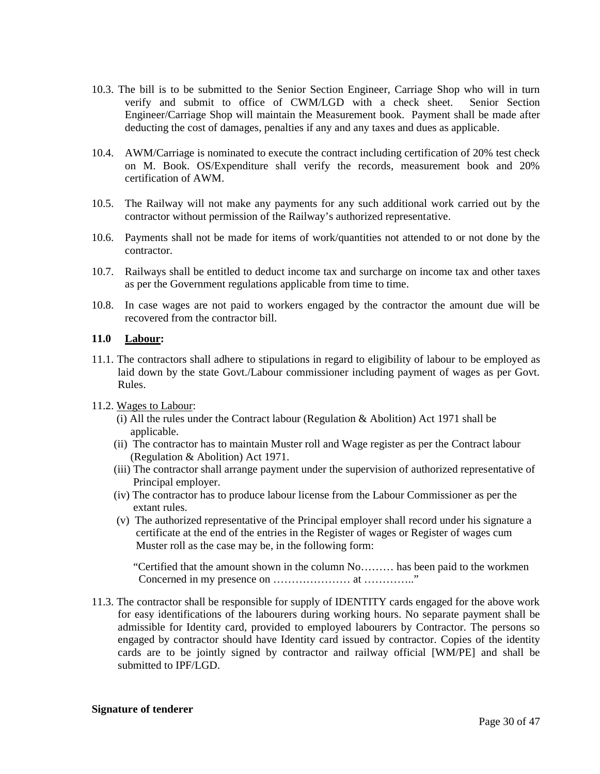- 10.3. The bill is to be submitted to the Senior Section Engineer, Carriage Shop who will in turn verify and submit to office of CWM/LGD with a check sheet. Senior Section Engineer/Carriage Shop will maintain the Measurement book. Payment shall be made after deducting the cost of damages, penalties if any and any taxes and dues as applicable.
- 10.4. AWM/Carriage is nominated to execute the contract including certification of 20% test check on M. Book. OS/Expenditure shall verify the records, measurement book and 20% certification of AWM.
- 10.5. The Railway will not make any payments for any such additional work carried out by the contractor without permission of the Railway's authorized representative.
- 10.6. Payments shall not be made for items of work/quantities not attended to or not done by the contractor.
- 10.7. Railways shall be entitled to deduct income tax and surcharge on income tax and other taxes as per the Government regulations applicable from time to time.
- 10.8. In case wages are not paid to workers engaged by the contractor the amount due will be recovered from the contractor bill.

#### **11.0 Labour:**

- 11.1. The contractors shall adhere to stipulations in regard to eligibility of labour to be employed as laid down by the state Govt./Labour commissioner including payment of wages as per Govt. Rules.
- 11.2. Wages to Labour:
	- (i) All the rules under the Contract labour (Regulation & Abolition) Act 1971 shall be applicable.
	- (ii) The contractor has to maintain Muster roll and Wage register as per the Contract labour (Regulation & Abolition) Act 1971.
	- (iii) The contractor shall arrange payment under the supervision of authorized representative of Principal employer.
	- (iv) The contractor has to produce labour license from the Labour Commissioner as per the extant rules.
	- (v) The authorized representative of the Principal employer shall record under his signature a certificate at the end of the entries in the Register of wages or Register of wages cum Muster roll as the case may be, in the following form:

"Certified that the amount shown in the column No……… has been paid to the workmen Concerned in my presence on ………………… at ………….."

11.3. The contractor shall be responsible for supply of IDENTITY cards engaged for the above work for easy identifications of the labourers during working hours. No separate payment shall be admissible for Identity card, provided to employed labourers by Contractor. The persons so engaged by contractor should have Identity card issued by contractor. Copies of the identity cards are to be jointly signed by contractor and railway official [WM/PE] and shall be submitted to IPF/LGD.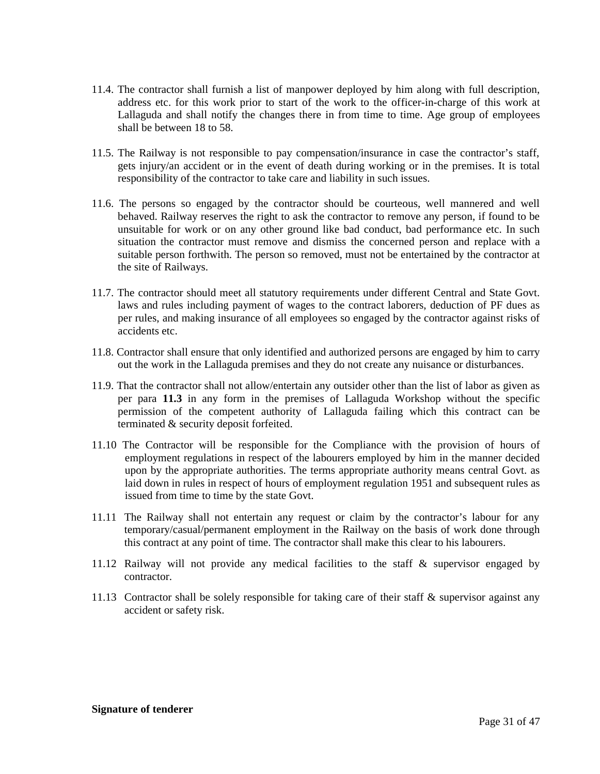- 11.4. The contractor shall furnish a list of manpower deployed by him along with full description, address etc. for this work prior to start of the work to the officer-in-charge of this work at Lallaguda and shall notify the changes there in from time to time. Age group of employees shall be between 18 to 58.
- 11.5. The Railway is not responsible to pay compensation/insurance in case the contractor's staff, gets injury/an accident or in the event of death during working or in the premises. It is total responsibility of the contractor to take care and liability in such issues.
- 11.6. The persons so engaged by the contractor should be courteous, well mannered and well behaved. Railway reserves the right to ask the contractor to remove any person, if found to be unsuitable for work or on any other ground like bad conduct, bad performance etc. In such situation the contractor must remove and dismiss the concerned person and replace with a suitable person forthwith. The person so removed, must not be entertained by the contractor at the site of Railways.
- 11.7. The contractor should meet all statutory requirements under different Central and State Govt. laws and rules including payment of wages to the contract laborers, deduction of PF dues as per rules, and making insurance of all employees so engaged by the contractor against risks of accidents etc.
- 11.8. Contractor shall ensure that only identified and authorized persons are engaged by him to carry out the work in the Lallaguda premises and they do not create any nuisance or disturbances.
- 11.9. That the contractor shall not allow/entertain any outsider other than the list of labor as given as per para **11.3** in any form in the premises of Lallaguda Workshop without the specific permission of the competent authority of Lallaguda failing which this contract can be terminated & security deposit forfeited.
- 11.10 The Contractor will be responsible for the Compliance with the provision of hours of employment regulations in respect of the labourers employed by him in the manner decided upon by the appropriate authorities. The terms appropriate authority means central Govt. as laid down in rules in respect of hours of employment regulation 1951 and subsequent rules as issued from time to time by the state Govt.
- 11.11 The Railway shall not entertain any request or claim by the contractor's labour for any temporary/casual/permanent employment in the Railway on the basis of work done through this contract at any point of time. The contractor shall make this clear to his labourers.
- 11.12 Railway will not provide any medical facilities to the staff & supervisor engaged by contractor.
- 11.13 Contractor shall be solely responsible for taking care of their staff & supervisor against any accident or safety risk.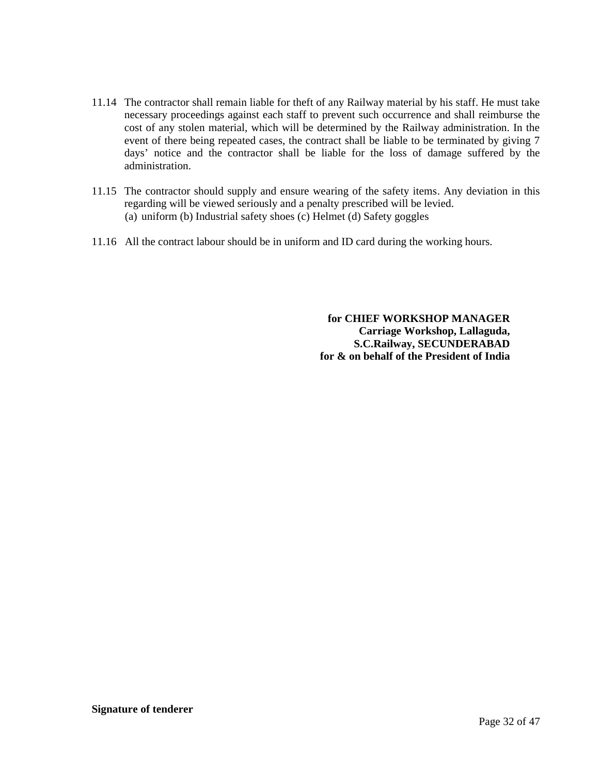- 11.14 The contractor shall remain liable for theft of any Railway material by his staff. He must take necessary proceedings against each staff to prevent such occurrence and shall reimburse the cost of any stolen material, which will be determined by the Railway administration. In the event of there being repeated cases, the contract shall be liable to be terminated by giving 7 days' notice and the contractor shall be liable for the loss of damage suffered by the administration.
- 11.15 The contractor should supply and ensure wearing of the safety items. Any deviation in this regarding will be viewed seriously and a penalty prescribed will be levied. (a) uniform (b) Industrial safety shoes (c) Helmet (d) Safety goggles
- 11.16 All the contract labour should be in uniform and ID card during the working hours.

**for CHIEF WORKSHOP MANAGER Carriage Workshop, Lallaguda, S.C.Railway, SECUNDERABAD for & on behalf of the President of India**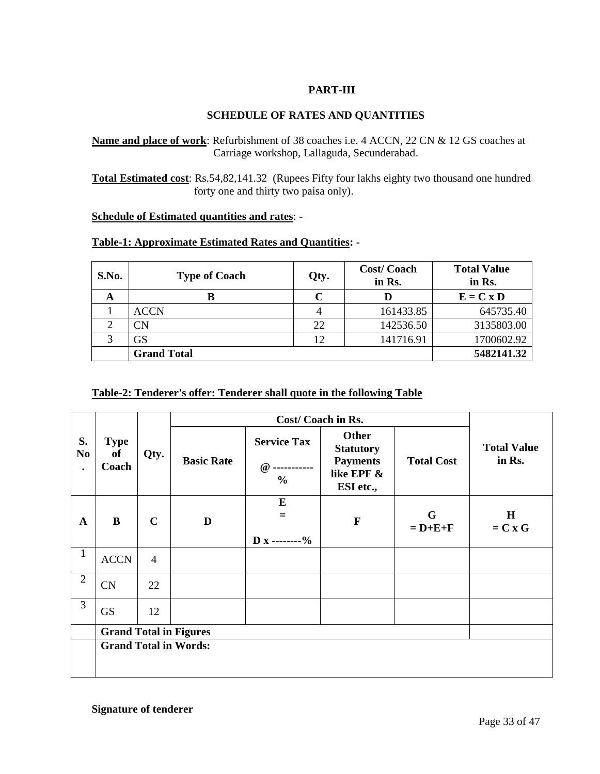## **PART-III**

## **SCHEDULE OF RATES AND QUANTITIES**

## **Name and place of work**: Refurbishment of 38 coaches i.e. 4 ACCN, 22 CN & 12 GS coaches at Carriage workshop, Lallaguda, Secunderabad.

**Total Estimated cost**: Rs.54,82,141.32 (Rupees Fifty four lakhs eighty two thousand one hundred forty one and thirty two paisa only).

#### **Schedule of Estimated quantities and rates**: -

## **Table-1: Approximate Estimated Rates and Quantities: -**

| S.No. | <b>Type of Coach</b> | Qty. | <b>Cost/Coach</b><br>in Rs. | <b>Total Value</b><br>in Rs. |
|-------|----------------------|------|-----------------------------|------------------------------|
| A     | В                    |      | D                           | $E = C x D$                  |
|       | <b>ACCN</b>          |      | 161433.85                   | 645735.40                    |
| ◠     | <b>CN</b>            | 22   | 142536.50                   | 3135803.00                   |
| っ     | <b>GS</b>            | 12   | 141716.91                   | 1700602.92                   |
|       | <b>Grand Total</b>   |      |                             | 5482141.32                   |

#### **Table-2: Tenderer's offer: Tenderer shall quote in the following Table**

| S.<br>N <sub>0</sub><br>$\bullet$ | <b>Type</b><br><b>of</b><br>Coach | Qty.           | <b>Basic Rate</b>             | <b>Service Tax</b><br>$\omega$<br>$\frac{0}{0}$ | <b>Other</b><br><b>Statutory</b><br><b>Payments</b><br>like EPF &<br>ESI etc., | <b>Total Cost</b> | <b>Total Value</b><br>in Rs. |
|-----------------------------------|-----------------------------------|----------------|-------------------------------|-------------------------------------------------|--------------------------------------------------------------------------------|-------------------|------------------------------|
| A                                 | $\bf{B}$                          | $\mathbf C$    | D                             | ${\bf E}$<br>$=$<br>$D x$ --------%             | $\mathbf F$                                                                    | G<br>$= D+E+F$    | $\mathbf H$<br>$= C x G$     |
| $\mathbf{1}$                      | <b>ACCN</b>                       | $\overline{4}$ |                               |                                                 |                                                                                |                   |                              |
| $\overline{2}$                    | CN                                | 22             |                               |                                                 |                                                                                |                   |                              |
| 3                                 | <b>GS</b>                         | 12             |                               |                                                 |                                                                                |                   |                              |
|                                   |                                   |                | <b>Grand Total in Figures</b> |                                                 |                                                                                |                   |                              |
|                                   | <b>Grand Total in Words:</b>      |                |                               |                                                 |                                                                                |                   |                              |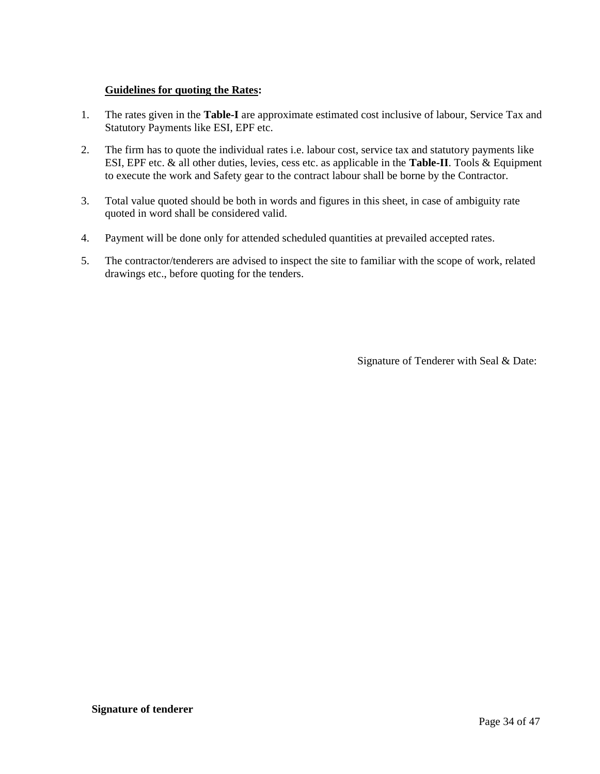## **Guidelines for quoting the Rates:**

- 1. The rates given in the **Table-I** are approximate estimated cost inclusive of labour, Service Tax and Statutory Payments like ESI, EPF etc.
- 2. The firm has to quote the individual rates i.e. labour cost, service tax and statutory payments like ESI, EPF etc. & all other duties, levies, cess etc. as applicable in the **Table-II**. Tools & Equipment to execute the work and Safety gear to the contract labour shall be borne by the Contractor.
- 3. Total value quoted should be both in words and figures in this sheet, in case of ambiguity rate quoted in word shall be considered valid.
- 4. Payment will be done only for attended scheduled quantities at prevailed accepted rates.
- 5. The contractor/tenderers are advised to inspect the site to familiar with the scope of work, related drawings etc., before quoting for the tenders.

Signature of Tenderer with Seal & Date: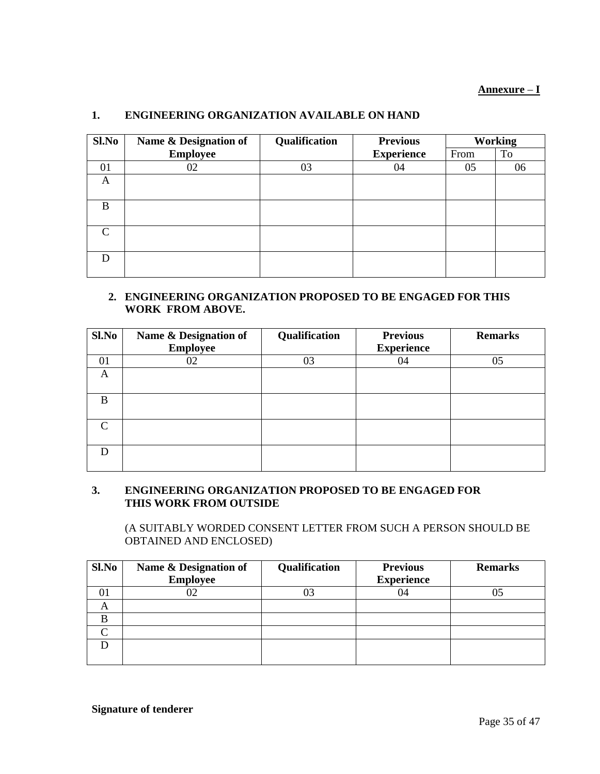## **Annexure** – **I**

## **1. ENGINEERING ORGANIZATION AVAILABLE ON HAND**

| Sl.No    | Name & Designation of | Qualification<br><b>Previous</b><br><b>Working</b> |                   |      |    |
|----------|-----------------------|----------------------------------------------------|-------------------|------|----|
|          | <b>Employee</b>       |                                                    | <b>Experience</b> | From | To |
| 01       | 02                    | 03                                                 | 04                | 05   | 06 |
| A        |                       |                                                    |                   |      |    |
| B        |                       |                                                    |                   |      |    |
| $\Gamma$ |                       |                                                    |                   |      |    |
|          |                       |                                                    |                   |      |    |

## **2. ENGINEERING ORGANIZATION PROPOSED TO BE ENGAGED FOR THIS WORK FROM ABOVE.**

| Sl.No  | Name & Designation of<br><b>Employee</b> | Qualification | <b>Previous</b><br><b>Experience</b> | <b>Remarks</b> |
|--------|------------------------------------------|---------------|--------------------------------------|----------------|
| 01     | 02                                       | 03            | 04                                   | 05             |
| А      |                                          |               |                                      |                |
| B      |                                          |               |                                      |                |
| $\cap$ |                                          |               |                                      |                |
|        |                                          |               |                                      |                |

#### **3. ENGINEERING ORGANIZATION PROPOSED TO BE ENGAGED FOR THIS WORK FROM OUTSIDE**

(A SUITABLY WORDED CONSENT LETTER FROM SUCH A PERSON SHOULD BE OBTAINED AND ENCLOSED)

| Sl.No | Name & Designation of<br><b>Employee</b> | Qualification | <b>Previous</b><br><b>Experience</b> | <b>Remarks</b> |
|-------|------------------------------------------|---------------|--------------------------------------|----------------|
| 01    |                                          |               |                                      |                |
| A     |                                          |               |                                      |                |
|       |                                          |               |                                      |                |
|       |                                          |               |                                      |                |
|       |                                          |               |                                      |                |
|       |                                          |               |                                      |                |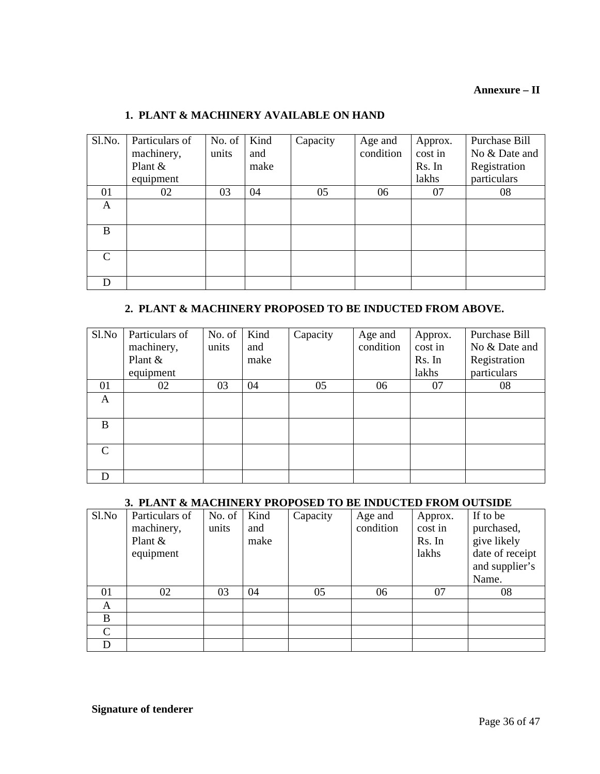## **Annexure – II**

## **1. PLANT & MACHINERY AVAILABLE ON HAND**

| Sl.No.        | Particulars of<br>machinery, | No. of<br>units | Kind<br>and | Capacity | Age and<br>condition | Approx.<br>cost in | Purchase Bill<br>No & Date and |
|---------------|------------------------------|-----------------|-------------|----------|----------------------|--------------------|--------------------------------|
|               | Plant &<br>equipment         |                 | make        |          |                      | Rs. In<br>lakhs    | Registration<br>particulars    |
| 01            | 02                           | 03              | 04          | 05       | 06                   | 07                 | 08                             |
| А             |                              |                 |             |          |                      |                    |                                |
| B             |                              |                 |             |          |                      |                    |                                |
| $\mathcal{C}$ |                              |                 |             |          |                      |                    |                                |
| D             |                              |                 |             |          |                      |                    |                                |

#### **2. PLANT & MACHINERY PROPOSED TO BE INDUCTED FROM ABOVE.**

| Sl.No                       | Particulars of | No. of $\vert$ | Kind | Capacity | Age and   | Approx. | Purchase Bill |
|-----------------------------|----------------|----------------|------|----------|-----------|---------|---------------|
|                             | machinery,     | units          | and  |          | condition | cost in | No & Date and |
|                             | Plant &        |                | make |          |           | Rs. In  | Registration  |
|                             | equipment      |                |      |          |           | lakhs   | particulars   |
| 01                          | 02             | 03             | 04   | 05       | 06        | 07      | 08            |
| A                           |                |                |      |          |           |         |               |
| B                           |                |                |      |          |           |         |               |
| $\mathcal{C}_{\mathcal{C}}$ |                |                |      |          |           |         |               |
|                             |                |                |      |          |           |         |               |

## **3. PLANT & MACHINERY PROPOSED TO BE INDUCTED FROM OUTSIDE**

| Sl.No         | Particulars of<br>machinery,<br>Plant $\&$<br>equipment | No. of<br>units | Kind<br>and<br>make | Capacity | Age and<br>condition | Approx.<br>cost in<br>Rs. In<br>lakhs | If to be<br>purchased,<br>give likely<br>date of receipt<br>and supplier's<br>Name. |
|---------------|---------------------------------------------------------|-----------------|---------------------|----------|----------------------|---------------------------------------|-------------------------------------------------------------------------------------|
| 01            | 02                                                      | 03              | 04                  | 05       | 06                   | 07                                    | 08                                                                                  |
| A             |                                                         |                 |                     |          |                      |                                       |                                                                                     |
| B             |                                                         |                 |                     |          |                      |                                       |                                                                                     |
| $\mathcal{C}$ |                                                         |                 |                     |          |                      |                                       |                                                                                     |
| D             |                                                         |                 |                     |          |                      |                                       |                                                                                     |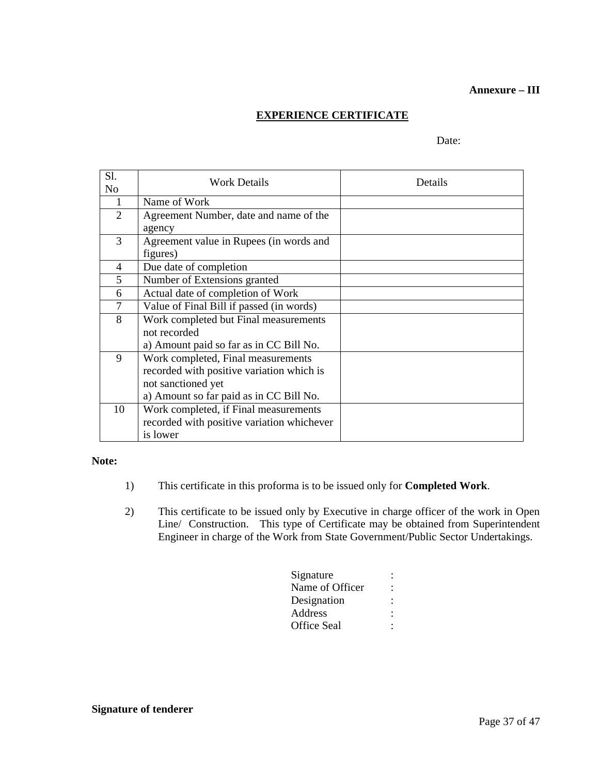#### **Annexure – III**

## **EXPERIENCE CERTIFICATE**

#### Date:

| Sl.            | Work Details                               | Details |
|----------------|--------------------------------------------|---------|
| N <sub>0</sub> |                                            |         |
| 1              | Name of Work                               |         |
| 2              | Agreement Number, date and name of the     |         |
|                | agency                                     |         |
| 3              | Agreement value in Rupees (in words and    |         |
|                | figures)                                   |         |
| $\overline{4}$ | Due date of completion                     |         |
| 5              | Number of Extensions granted               |         |
| 6              | Actual date of completion of Work          |         |
| 7              | Value of Final Bill if passed (in words)   |         |
| 8              | Work completed but Final measurements      |         |
|                | not recorded                               |         |
|                | a) Amount paid so far as in CC Bill No.    |         |
| 9              | Work completed, Final measurements         |         |
|                | recorded with positive variation which is  |         |
|                | not sanctioned yet                         |         |
|                | a) Amount so far paid as in CC Bill No.    |         |
| 10             | Work completed, if Final measurements      |         |
|                | recorded with positive variation whichever |         |
|                | is lower                                   |         |

#### **Note:**

- 1) This certificate in this proforma is to be issued only for **Completed Work**.
- 2) This certificate to be issued only by Executive in charge officer of the work in Open Line/ Construction. This type of Certificate may be obtained from Superintendent Engineer in charge of the Work from State Government/Public Sector Undertakings.

| Signature       |  |
|-----------------|--|
| Name of Officer |  |
| Designation     |  |
| Address         |  |
| Office Seal     |  |
|                 |  |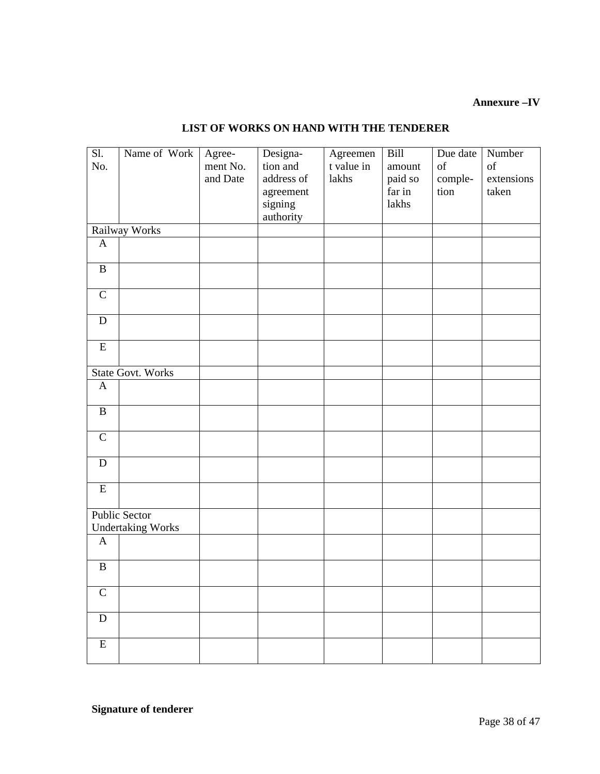## **Annexure –IV**

## **LIST OF WORKS ON HAND WITH THE TENDERER**

| $\overline{SI.}$        | Name of Work             | Agree-   | Designa-   | Agreemen   | Bill    | Due date | Number     |
|-------------------------|--------------------------|----------|------------|------------|---------|----------|------------|
| No.                     |                          | ment No. | tion and   | t value in | amount  | of       | of         |
|                         |                          | and Date | address of | lakhs      | paid so | comple-  | extensions |
|                         |                          |          | agreement  |            | far in  | tion     | taken      |
|                         |                          |          | signing    |            | lakhs   |          |            |
|                         |                          |          | authority  |            |         |          |            |
|                         | Railway Works            |          |            |            |         |          |            |
| $\mathbf{A}$            |                          |          |            |            |         |          |            |
|                         |                          |          |            |            |         |          |            |
| $\, {\bf B}$            |                          |          |            |            |         |          |            |
|                         |                          |          |            |            |         |          |            |
| $\mathbf C$             |                          |          |            |            |         |          |            |
|                         |                          |          |            |            |         |          |            |
| ${\bf D}$               |                          |          |            |            |         |          |            |
|                         |                          |          |            |            |         |          |            |
| $\overline{\mathrm{E}}$ |                          |          |            |            |         |          |            |
|                         |                          |          |            |            |         |          |            |
|                         | <b>State Govt. Works</b> |          |            |            |         |          |            |
| $\mathbf{A}$            |                          |          |            |            |         |          |            |
|                         |                          |          |            |            |         |          |            |
| $\, {\bf B}$            |                          |          |            |            |         |          |            |
|                         |                          |          |            |            |         |          |            |
| $\mathbf C$             |                          |          |            |            |         |          |            |
|                         |                          |          |            |            |         |          |            |
| ${\bf D}$               |                          |          |            |            |         |          |            |
|                         |                          |          |            |            |         |          |            |
| ${\bf E}$               |                          |          |            |            |         |          |            |
|                         |                          |          |            |            |         |          |            |
|                         | <b>Public Sector</b>     |          |            |            |         |          |            |
|                         | <b>Undertaking Works</b> |          |            |            |         |          |            |
| $\mathbf{A}$            |                          |          |            |            |         |          |            |
|                         |                          |          |            |            |         |          |            |
| $\, {\bf B}$            |                          |          |            |            |         |          |            |
|                         |                          |          |            |            |         |          |            |
| $\mathsf{C}$            |                          |          |            |            |         |          |            |
|                         |                          |          |            |            |         |          |            |
| ${\bf D}$               |                          |          |            |            |         |          |            |
|                         |                          |          |            |            |         |          |            |
| $\overline{\mathrm{E}}$ |                          |          |            |            |         |          |            |
|                         |                          |          |            |            |         |          |            |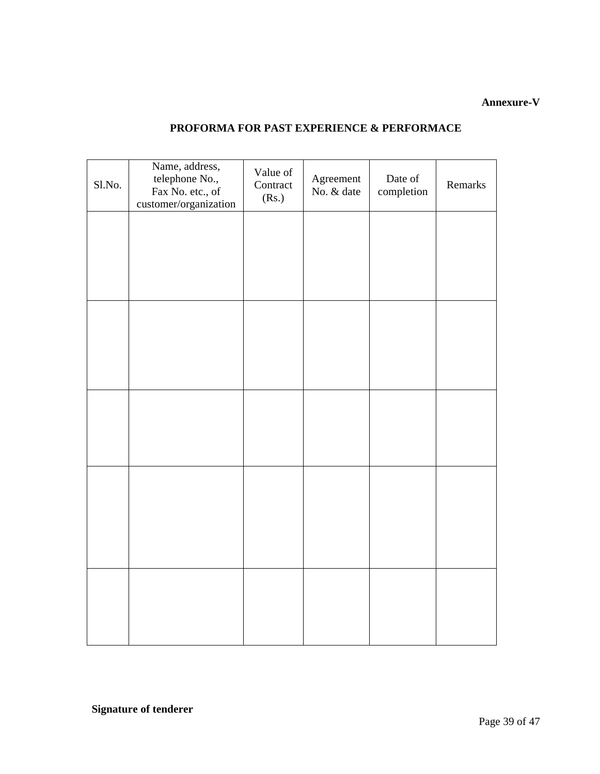## **Annexure-V**

## **PROFORMA FOR PAST EXPERIENCE & PERFORMACE**

| Sl.No. | Name, address,<br>telephone No.,<br>Fax No. etc., of<br>customer/organization | Value of<br>Contract<br>(Rs.) | Agreement<br>No. & date | Date of<br>completion | Remarks |
|--------|-------------------------------------------------------------------------------|-------------------------------|-------------------------|-----------------------|---------|
|        |                                                                               |                               |                         |                       |         |
|        |                                                                               |                               |                         |                       |         |
|        |                                                                               |                               |                         |                       |         |
|        |                                                                               |                               |                         |                       |         |
|        |                                                                               |                               |                         |                       |         |
|        |                                                                               |                               |                         |                       |         |
|        |                                                                               |                               |                         |                       |         |
|        |                                                                               |                               |                         |                       |         |
|        |                                                                               |                               |                         |                       |         |
|        |                                                                               |                               |                         |                       |         |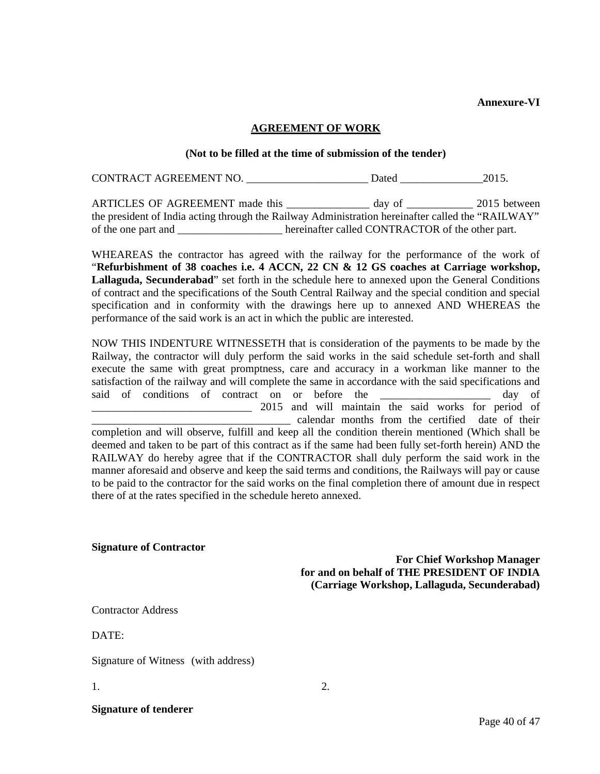**Annexure-VI**

#### **AGREEMENT OF WORK**

#### **(Not to be filled at the time of submission of the tender)**

CONTRACT AGREEMENT NO. \_\_\_\_\_\_\_\_\_\_\_\_\_\_\_\_\_\_\_\_\_\_\_\_\_\_Dated \_\_\_\_\_\_\_\_\_\_\_\_\_\_\_\_\_\_\_\_\_\_\_\_\_2015.

ARTICLES OF AGREEMENT made this \_\_\_\_\_\_\_\_\_\_\_\_\_\_ day of \_\_\_\_\_\_\_\_\_\_\_ 2015 between the president of India acting through the Railway Administration hereinafter called the "RAILWAY" of the one part and \_\_\_\_\_\_\_\_\_\_\_\_\_\_\_\_\_\_\_ hereinafter called CONTRACTOR of the other part.

WHEAREAS the contractor has agreed with the railway for the performance of the work of "**Refurbishment of 38 coaches i.e. 4 ACCN, 22 CN & 12 GS coaches at Carriage workshop, Lallaguda, Secunderabad**" set forth in the schedule here to annexed upon the General Conditions of contract and the specifications of the South Central Railway and the special condition and special specification and in conformity with the drawings here up to annexed AND WHEREAS the performance of the said work is an act in which the public are interested.

NOW THIS INDENTURE WITNESSETH that is consideration of the payments to be made by the Railway, the contractor will duly perform the said works in the said schedule set-forth and shall execute the same with great promptness, care and accuracy in a workman like manner to the satisfaction of the railway and will complete the same in accordance with the said specifications and said of conditions of contract on or before the the day of 2015 and will maintain the said works for period of \_\_\_\_\_\_\_\_\_\_\_\_\_\_\_\_\_\_\_\_\_\_\_\_\_\_\_\_\_\_\_\_\_\_\_\_ calendar months from the certified date of their completion and will observe, fulfill and keep all the condition therein mentioned (Which shall be

deemed and taken to be part of this contract as if the same had been fully set-forth herein) AND the RAILWAY do hereby agree that if the CONTRACTOR shall duly perform the said work in the manner aforesaid and observe and keep the said terms and conditions, the Railways will pay or cause to be paid to the contractor for the said works on the final completion there of amount due in respect there of at the rates specified in the schedule hereto annexed.

**Signature of Contractor**

**For Chief Workshop Manager for and on behalf of THE PRESIDENT OF INDIA (Carriage Workshop, Lallaguda, Secunderabad)**

Contractor Address

 $DATE$ 

Signature of Witness (with address)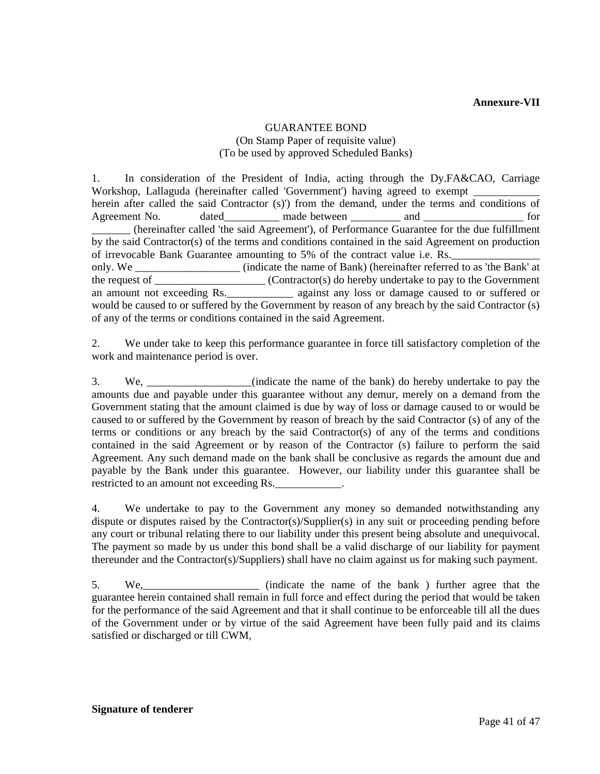## GUARANTEE BOND (On Stamp Paper of requisite value) (To be used by approved Scheduled Banks)

1. In consideration of the President of India, acting through the Dy.FA&CAO, Carriage Workshop, Lallaguda (hereinafter called 'Government') having agreed to exempt herein after called the said Contractor (s)') from the demand, under the terms and conditions of Agreement No. dated made between and and the same for \_\_\_\_\_\_\_ (hereinafter called 'the said Agreement'), of Performance Guarantee for the due fulfillment by the said Contractor(s) of the terms and conditions contained in the said Agreement on production of irrevocable Bank Guarantee amounting to 5% of the contract value i.e. Rs. only. We \_\_\_\_\_\_\_\_\_\_\_\_\_\_\_\_\_\_\_ (indicate the name of Bank) (hereinafter referred to as 'the Bank' at the request of \_\_\_\_\_\_\_\_\_\_\_\_\_\_\_\_\_\_\_\_ (Contractor(s) do hereby undertake to pay to the Government an amount not exceeding Rs.\_\_\_\_\_\_\_\_\_\_\_\_ against any loss or damage caused to or suffered or would be caused to or suffered by the Government by reason of any breach by the said Contractor (s) of any of the terms or conditions contained in the said Agreement.

2. We under take to keep this performance guarantee in force till satisfactory completion of the work and maintenance period is over.

3. We, \_\_\_\_\_\_\_\_\_\_\_\_\_\_\_\_\_\_\_(indicate the name of the bank) do hereby undertake to pay the amounts due and payable under this guarantee without any demur, merely on a demand from the Government stating that the amount claimed is due by way of loss or damage caused to or would be caused to or suffered by the Government by reason of breach by the said Contractor (s) of any of the terms or conditions or any breach by the said Contractor(s) of any of the terms and conditions contained in the said Agreement or by reason of the Contractor (s) failure to perform the said Agreement. Any such demand made on the bank shall be conclusive as regards the amount due and payable by the Bank under this guarantee. However, our liability under this guarantee shall be restricted to an amount not exceeding Rs.

4. We undertake to pay to the Government any money so demanded notwithstanding any dispute or disputes raised by the Contractor(s)/Supplier(s) in any suit or proceeding pending before any court or tribunal relating there to our liability under this present being absolute and unequivocal. The payment so made by us under this bond shall be a valid discharge of our liability for payment thereunder and the Contractor(s)/Suppliers) shall have no claim against us for making such payment.

5. We,\_\_\_\_\_\_\_\_\_\_\_\_\_\_\_\_\_\_\_\_\_ (indicate the name of the bank ) further agree that the guarantee herein contained shall remain in full force and effect during the period that would be taken for the performance of the said Agreement and that it shall continue to be enforceable till all the dues of the Government under or by virtue of the said Agreement have been fully paid and its claims satisfied or discharged or till CWM,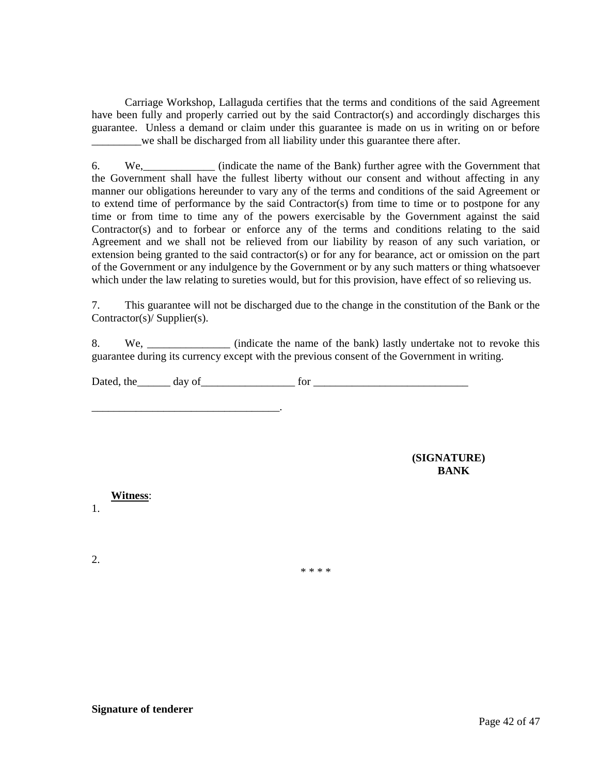Carriage Workshop, Lallaguda certifies that the terms and conditions of the said Agreement have been fully and properly carried out by the said Contractor(s) and accordingly discharges this guarantee. Unless a demand or claim under this guarantee is made on us in writing on or before \_\_\_\_\_\_\_\_\_we shall be discharged from all liability under this guarantee there after.

6. We, (indicate the name of the Bank) further agree with the Government that the Government shall have the fullest liberty without our consent and without affecting in any manner our obligations hereunder to vary any of the terms and conditions of the said Agreement or to extend time of performance by the said Contractor(s) from time to time or to postpone for any time or from time to time any of the powers exercisable by the Government against the said Contractor(s) and to forbear or enforce any of the terms and conditions relating to the said Agreement and we shall not be relieved from our liability by reason of any such variation, or extension being granted to the said contractor(s) or for any for bearance, act or omission on the part of the Government or any indulgence by the Government or by any such matters or thing whatsoever which under the law relating to sureties would, but for this provision, have effect of so relieving us.

7. This guarantee will not be discharged due to the change in the constitution of the Bank or the Contractor(s)/ Supplier(s).

8. We, we cindicate the name of the bank) lastly undertake not to revoke this guarantee during its currency except with the previous consent of the Government in writing.

Dated, the day of for the day of the state of the state of the state of the state of the state of the state of the state of the state of the state of the state of the state of the state of the state of the state of the sta

**(SIGNATURE) BANK**

**Witness**:

\_\_\_\_\_\_\_\_\_\_\_\_\_\_\_\_\_\_\_\_\_\_\_\_\_\_\_\_\_\_\_\_\_\_.

1.

2.

\* \* \* \*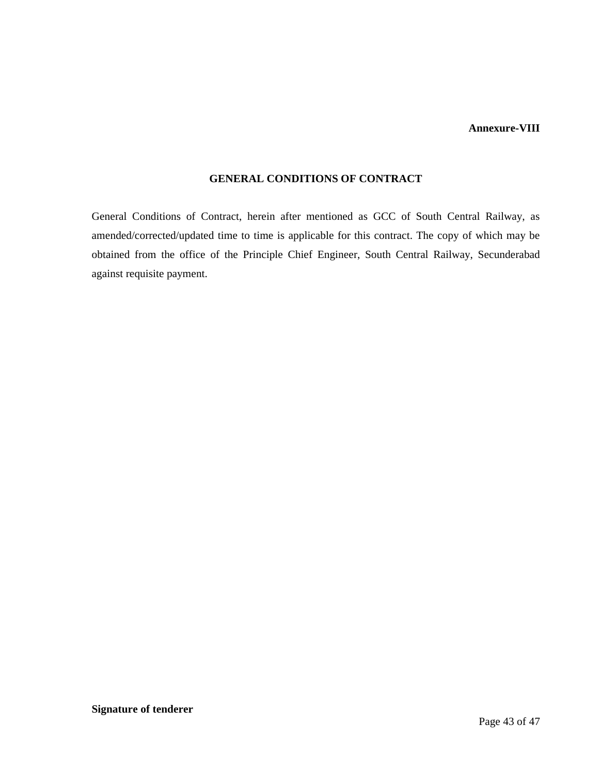#### **Annexure-VIII**

#### **GENERAL CONDITIONS OF CONTRACT**

General Conditions of Contract, herein after mentioned as GCC of South Central Railway, as amended/corrected/updated time to time is applicable for this contract. The copy of which may be obtained from the office of the Principle Chief Engineer, South Central Railway, Secunderabad against requisite payment.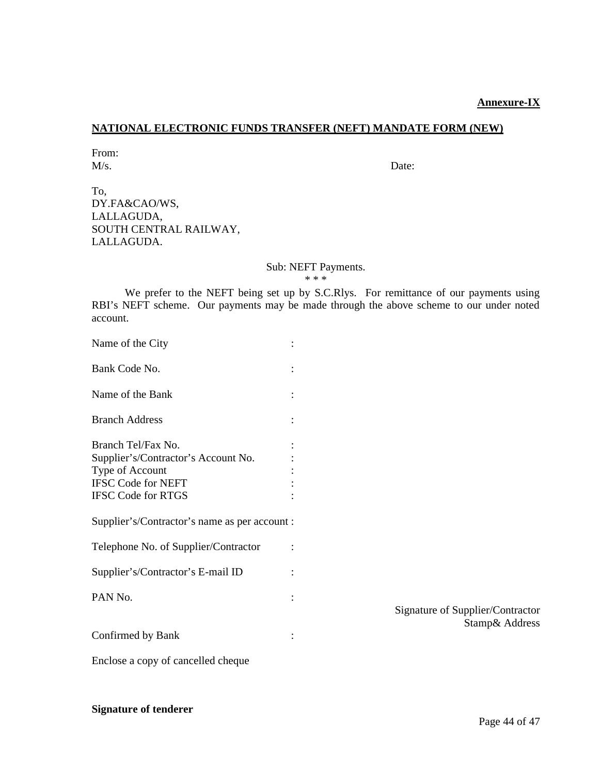#### **Annexure-IX**

## **NATIONAL ELECTRONIC FUNDS TRANSFER (NEFT) MANDATE FORM (NEW)**

From: M/s. Date:

To, DY.FA&CAO/WS, LALLAGUDA, SOUTH CENTRAL RAILWAY, LALLAGUDA.

#### Sub: NEFT Payments.

\* \* \*

We prefer to the NEFT being set up by S.C.Rlys. For remittance of our payments using RBI's NEFT scheme. Our payments may be made through the above scheme to our under noted account.

| Name of the City                                                                                                                       |  |
|----------------------------------------------------------------------------------------------------------------------------------------|--|
| Bank Code No.                                                                                                                          |  |
| Name of the Bank                                                                                                                       |  |
| <b>Branch Address</b>                                                                                                                  |  |
| Branch Tel/Fax No.<br>Supplier's/Contractor's Account No.<br>Type of Account<br><b>IFSC Code for NEFT</b><br><b>IFSC Code for RTGS</b> |  |
| Supplier's/Contractor's name as per account :                                                                                          |  |
| Telephone No. of Supplier/Contractor                                                                                                   |  |
| Supplier's/Contractor's E-mail ID                                                                                                      |  |
| PAN <sub>No</sub>                                                                                                                      |  |
| Confirmed by Bank                                                                                                                      |  |

Signature of Supplier/Contractor Stamp& Address

Enclose a copy of cancelled cheque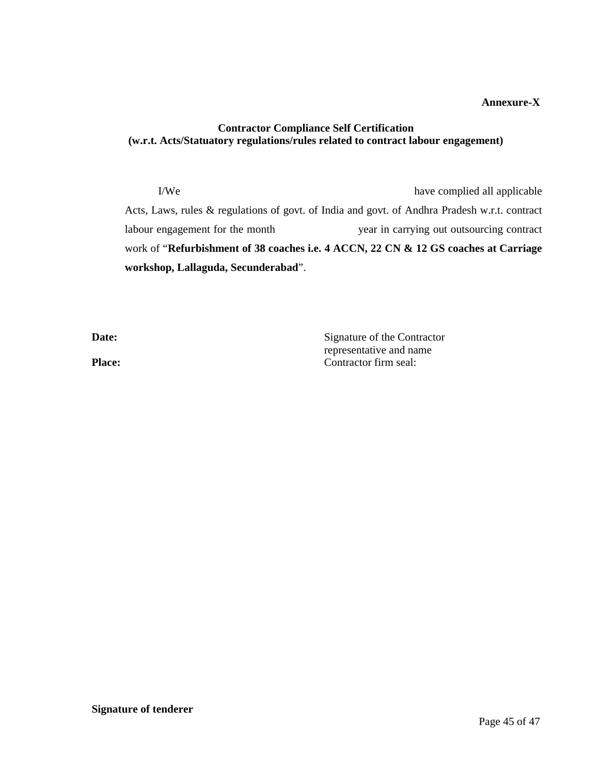## **Annexure-X**

## **Contractor Compliance Self Certification (w.r.t. Acts/Statuatory regulations/rules related to contract labour engagement)**

I/We have complied all applicable Acts, Laws, rules & regulations of govt. of India and govt. of Andhra Pradesh w.r.t. contract labour engagement for the month year in carrying out outsourcing contract work of "**Refurbishment of 38 coaches i.e. 4 ACCN, 22 CN & 12 GS coaches at Carriage workshop, Lallaguda, Secunderabad**".

**Date:** Signature of the Contractor representative and name Place: Contractor firm seal: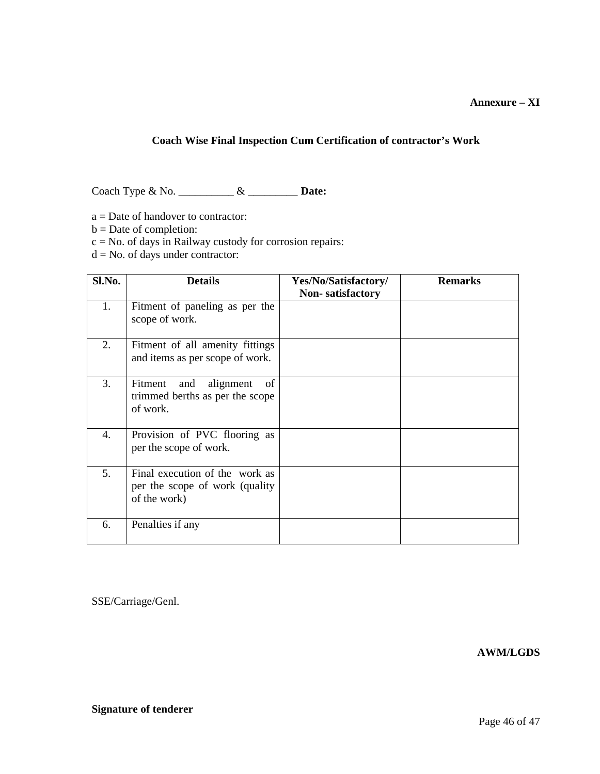## **Coach Wise Final Inspection Cum Certification of contractor's Work**

Coach Type & No. \_\_\_\_\_\_\_\_\_\_ & \_\_\_\_\_\_\_\_\_ **Date:**

- a = Date of handover to contractor:
- b = Date of completion:
- $c = No$ . of days in Railway custody for corrosion repairs:
- $d = No$ . of days under contractor:

| Sl.No. | <b>Details</b>                                                                    | Yes/No/Satisfactory/<br><b>Non-satisfactory</b> | <b>Remarks</b> |
|--------|-----------------------------------------------------------------------------------|-------------------------------------------------|----------------|
| 1.     | Fitment of paneling as per the<br>scope of work.                                  |                                                 |                |
| 2.     | Fitment of all amenity fittings<br>and items as per scope of work.                |                                                 |                |
| 3.     | of<br>Fitment and alignment<br>trimmed berths as per the scope<br>of work.        |                                                 |                |
| 4.     | Provision of PVC flooring as<br>per the scope of work.                            |                                                 |                |
| 5.     | Final execution of the work as<br>per the scope of work (quality)<br>of the work) |                                                 |                |
| 6.     | Penalties if any                                                                  |                                                 |                |

SSE/Carriage/Genl.

**AWM/LGDS**